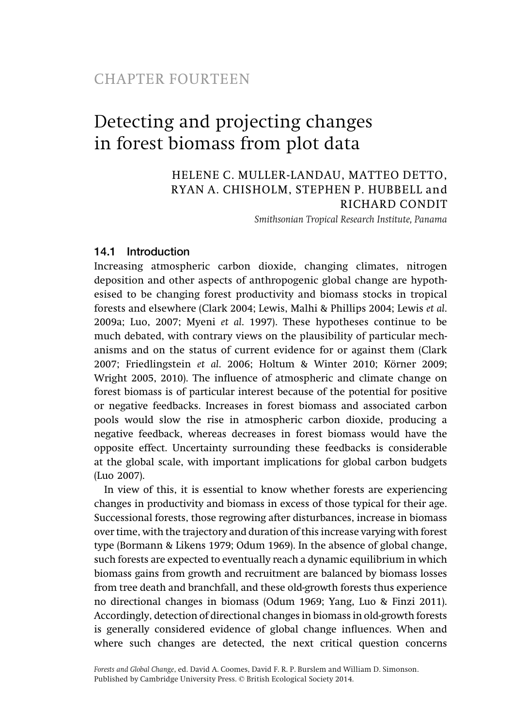# CHAPTER FOURTEEN

# Detecting and projecting changes in forest biomass from plot data

# HELENE C. MULLER-LANDAU, MATTEO DETTO, RYAN A. CHISHOLM, STEPHEN P. HUBBELL and RICHARD CONDIT

Smithsonian Tropical Research Institute, Panama

#### 14.1 Introduction

Increasing atmospheric carbon dioxide, changing climates, nitrogen deposition and other aspects of anthropogenic global change are hypothesised to be changing forest productivity and biomass stocks in tropical forests and elsewhere (Clark 2004; Lewis, Malhi & Phillips 2004; Lewis et al. 2009a; Luo, 2007; Myeni et al. 1997). These hypotheses continue to be much debated, with contrary views on the plausibility of particular mechanisms and on the status of current evidence for or against them (Clark 2007; Friedlingstein et al. 2006; Holtum & Winter 2010; Körner 2009; Wright 2005, 2010). The influence of atmospheric and climate change on forest biomass is of particular interest because of the potential for positive or negative feedbacks. Increases in forest biomass and associated carbon pools would slow the rise in atmospheric carbon dioxide, producing a negative feedback, whereas decreases in forest biomass would have the opposite effect. Uncertainty surrounding these feedbacks is considerable at the global scale, with important implications for global carbon budgets (Luo 2007).

In view of this, it is essential to know whether forests are experiencing changes in productivity and biomass in excess of those typical for their age. Successional forests, those regrowing after disturbances, increase in biomass over time, with the trajectory and duration of this increase varying with forest type (Bormann & Likens 1979; Odum 1969). In the absence of global change, such forests are expected to eventually reach a dynamic equilibrium in which biomass gains from growth and recruitment are balanced by biomass losses from tree death and branchfall, and these old-growth forests thus experience no directional changes in biomass (Odum 1969; Yang, Luo & Finzi 2011). Accordingly, detection of directional changes in biomass in old-growth forests is generally considered evidence of global change influences. When and where such changes are detected, the next critical question concerns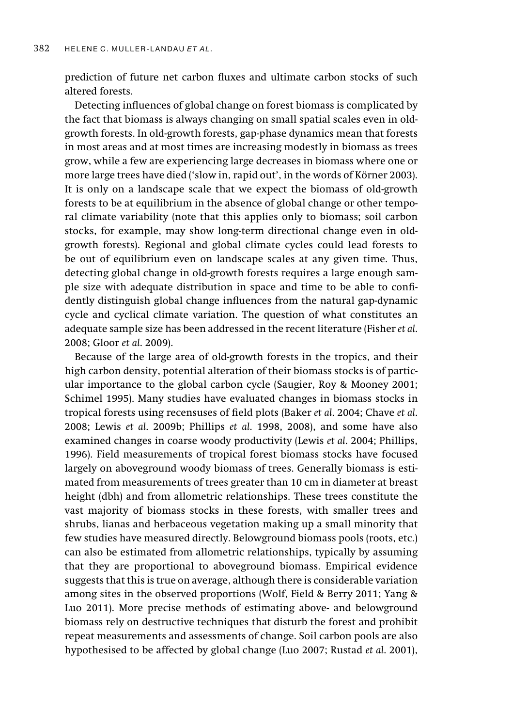prediction of future net carbon fluxes and ultimate carbon stocks of such altered forests.

Detecting influences of global change on forest biomass is complicated by the fact that biomass is always changing on small spatial scales even in oldgrowth forests. In old-growth forests, gap-phase dynamics mean that forests in most areas and at most times are increasing modestly in biomass as trees grow, while a few are experiencing large decreases in biomass where one or more large trees have died ('slow in, rapid out', in the words of Körner 2003). It is only on a landscape scale that we expect the biomass of old-growth forests to be at equilibrium in the absence of global change or other temporal climate variability (note that this applies only to biomass; soil carbon stocks, for example, may show long-term directional change even in oldgrowth forests). Regional and global climate cycles could lead forests to be out of equilibrium even on landscape scales at any given time. Thus, detecting global change in old-growth forests requires a large enough sample size with adequate distribution in space and time to be able to confidently distinguish global change influences from the natural gap-dynamic cycle and cyclical climate variation. The question of what constitutes an adequate sample size has been addressed in the recent literature (Fisher et al. 2008; Gloor et al. 2009).

Because of the large area of old-growth forests in the tropics, and their high carbon density, potential alteration of their biomass stocks is of particular importance to the global carbon cycle (Saugier, Roy & Mooney 2001; Schimel 1995). Many studies have evaluated changes in biomass stocks in tropical forests using recensuses of field plots (Baker et al. 2004; Chave et al. 2008; Lewis et al. 2009b; Phillips et al. 1998, 2008), and some have also examined changes in coarse woody productivity (Lewis et al. 2004; Phillips, 1996). Field measurements of tropical forest biomass stocks have focused largely on aboveground woody biomass of trees. Generally biomass is estimated from measurements of trees greater than 10 cm in diameter at breast height (dbh) and from allometric relationships. These trees constitute the vast majority of biomass stocks in these forests, with smaller trees and shrubs, lianas and herbaceous vegetation making up a small minority that few studies have measured directly. Belowground biomass pools (roots, etc.) can also be estimated from allometric relationships, typically by assuming that they are proportional to aboveground biomass. Empirical evidence suggests that this is true on average, although there is considerable variation among sites in the observed proportions (Wolf, Field & Berry 2011; Yang & Luo 2011). More precise methods of estimating above- and belowground biomass rely on destructive techniques that disturb the forest and prohibit repeat measurements and assessments of change. Soil carbon pools are also hypothesised to be affected by global change (Luo 2007; Rustad et al. 2001),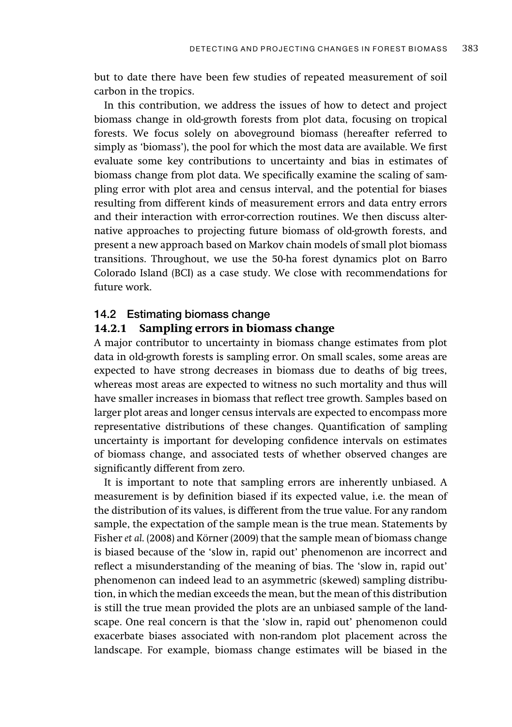but to date there have been few studies of repeated measurement of soil carbon in the tropics.

In this contribution, we address the issues of how to detect and project biomass change in old-growth forests from plot data, focusing on tropical forests. We focus solely on aboveground biomass (hereafter referred to simply as 'biomass'), the pool for which the most data are available. We first evaluate some key contributions to uncertainty and bias in estimates of biomass change from plot data. We specifically examine the scaling of sampling error with plot area and census interval, and the potential for biases resulting from different kinds of measurement errors and data entry errors and their interaction with error-correction routines. We then discuss alternative approaches to projecting future biomass of old-growth forests, and present a new approach based on Markov chain models of small plot biomass transitions. Throughout, we use the 50-ha forest dynamics plot on Barro Colorado Island (BCI) as a case study. We close with recommendations for future work.

# 14.2 Estimating biomass change

#### 14.2.1 Sampling errors in biomass change

A major contributor to uncertainty in biomass change estimates from plot data in old-growth forests is sampling error. On small scales, some areas are expected to have strong decreases in biomass due to deaths of big trees, whereas most areas are expected to witness no such mortality and thus will have smaller increases in biomass that reflect tree growth. Samples based on larger plot areas and longer census intervals are expected to encompass more representative distributions of these changes. Quantification of sampling uncertainty is important for developing confidence intervals on estimates of biomass change, and associated tests of whether observed changes are significantly different from zero.

It is important to note that sampling errors are inherently unbiased. A measurement is by definition biased if its expected value, i.e. the mean of the distribution of its values, is different from the true value. For any random sample, the expectation of the sample mean is the true mean. Statements by Fisher et al. (2008) and Körner (2009) that the sample mean of biomass change is biased because of the 'slow in, rapid out' phenomenon are incorrect and reflect a misunderstanding of the meaning of bias. The 'slow in, rapid out' phenomenon can indeed lead to an asymmetric (skewed) sampling distribution, in which the median exceeds the mean, but the mean of this distribution is still the true mean provided the plots are an unbiased sample of the landscape. One real concern is that the 'slow in, rapid out' phenomenon could exacerbate biases associated with non-random plot placement across the landscape. For example, biomass change estimates will be biased in the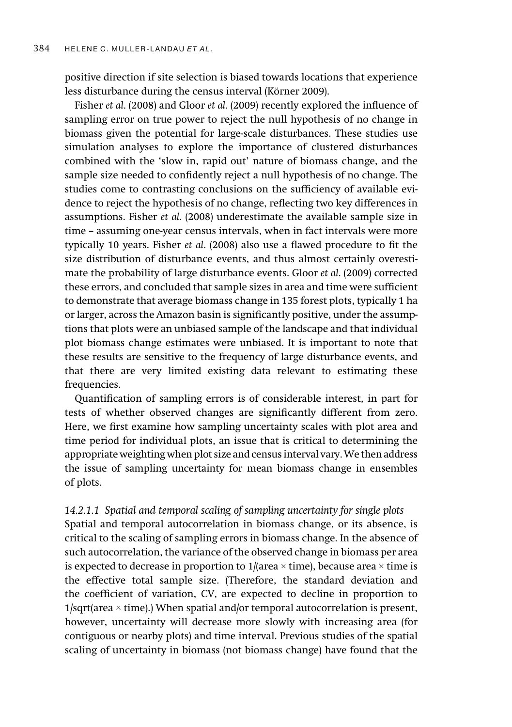positive direction if site selection is biased towards locations that experience less disturbance during the census interval (Körner 2009).

Fisher et al. (2008) and Gloor et al. (2009) recently explored the influence of sampling error on true power to reject the null hypothesis of no change in biomass given the potential for large-scale disturbances. These studies use simulation analyses to explore the importance of clustered disturbances combined with the 'slow in, rapid out' nature of biomass change, and the sample size needed to confidently reject a null hypothesis of no change. The studies come to contrasting conclusions on the sufficiency of available evidence to reject the hypothesis of no change, reflecting two key differences in assumptions. Fisher et al. (2008) underestimate the available sample size in time – assuming one-year census intervals, when in fact intervals were more typically 10 years. Fisher et al. (2008) also use a flawed procedure to fit the size distribution of disturbance events, and thus almost certainly overestimate the probability of large disturbance events. Gloor et al. (2009) corrected these errors, and concluded that sample sizes in area and time were sufficient to demonstrate that average biomass change in 135 forest plots, typically 1 ha or larger, across the Amazon basin is significantly positive, under the assumptions that plots were an unbiased sample of the landscape and that individual plot biomass change estimates were unbiased. It is important to note that these results are sensitive to the frequency of large disturbance events, and that there are very limited existing data relevant to estimating these frequencies.

Quantification of sampling errors is of considerable interest, in part for tests of whether observed changes are significantly different from zero. Here, we first examine how sampling uncertainty scales with plot area and time period for individual plots, an issue that is critical to determining the appropriate weighting when plot size and census interval vary.We then address the issue of sampling uncertainty for mean biomass change in ensembles of plots.

14.2.1.1 Spatial and temporal scaling of sampling uncertainty for single plots Spatial and temporal autocorrelation in biomass change, or its absence, is critical to the scaling of sampling errors in biomass change. In the absence of such autocorrelation, the variance of the observed change in biomass per area is expected to decrease in proportion to  $1/(area \times time)$ , because area  $\times$  time is the effective total sample size. (Therefore, the standard deviation and the coefficient of variation, CV, are expected to decline in proportion to 1/sqrt(area  $\times$  time).) When spatial and/or temporal autocorrelation is present, however, uncertainty will decrease more slowly with increasing area (for contiguous or nearby plots) and time interval. Previous studies of the spatial scaling of uncertainty in biomass (not biomass change) have found that the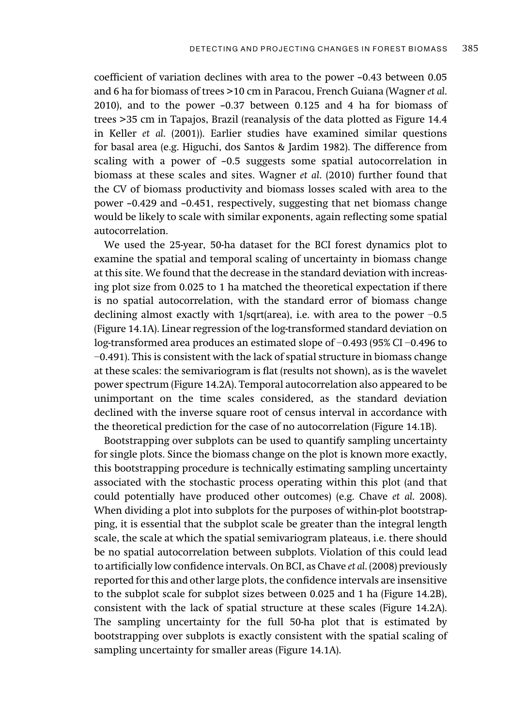coefficient of variation declines with area to the power –0.43 between 0.05 and 6 ha for biomass of trees >10 cm in Paracou, French Guiana (Wagner et al. 2010), and to the power –0.37 between 0.125 and 4 ha for biomass of trees >35 cm in Tapajos, Brazil (reanalysis of the data plotted as Figure 14.4 in Keller et al. (2001)). Earlier studies have examined similar questions for basal area (e.g. Higuchi, dos Santos & Jardim 1982). The difference from scaling with a power of –0.5 suggests some spatial autocorrelation in biomass at these scales and sites. Wagner et al. (2010) further found that the CV of biomass productivity and biomass losses scaled with area to the power –0.429 and –0.451, respectively, suggesting that net biomass change would be likely to scale with similar exponents, again reflecting some spatial autocorrelation.

We used the 25-year, 50-ha dataset for the BCI forest dynamics plot to examine the spatial and temporal scaling of uncertainty in biomass change at this site. We found that the decrease in the standard deviation with increasing plot size from 0.025 to 1 ha matched the theoretical expectation if there is no spatial autocorrelation, with the standard error of biomass change declining almost exactly with 1/sqrt(area), i.e. with area to the power −0.5 (Figure 14.1A). Linear regression of the log-transformed standard deviation on log-transformed area produces an estimated slope of −0.493 (95% CI −0.496 to −0.491). This is consistent with the lack of spatial structure in biomass change at these scales: the semivariogram is flat (results not shown), as is the wavelet power spectrum (Figure 14.2A). Temporal autocorrelation also appeared to be unimportant on the time scales considered, as the standard deviation declined with the inverse square root of census interval in accordance with the theoretical prediction for the case of no autocorrelation (Figure 14.1B).

Bootstrapping over subplots can be used to quantify sampling uncertainty for single plots. Since the biomass change on the plot is known more exactly, this bootstrapping procedure is technically estimating sampling uncertainty associated with the stochastic process operating within this plot (and that could potentially have produced other outcomes) (e.g. Chave et al. 2008). When dividing a plot into subplots for the purposes of within-plot bootstrapping, it is essential that the subplot scale be greater than the integral length scale, the scale at which the spatial semivariogram plateaus, i.e. there should be no spatial autocorrelation between subplots. Violation of this could lead to artificially low confidence intervals. On BCI, as Chave et al. (2008) previously reported for this and other large plots, the confidence intervals are insensitive to the subplot scale for subplot sizes between 0.025 and 1 ha (Figure 14.2B), consistent with the lack of spatial structure at these scales (Figure 14.2A). The sampling uncertainty for the full 50-ha plot that is estimated by bootstrapping over subplots is exactly consistent with the spatial scaling of sampling uncertainty for smaller areas (Figure 14.1A).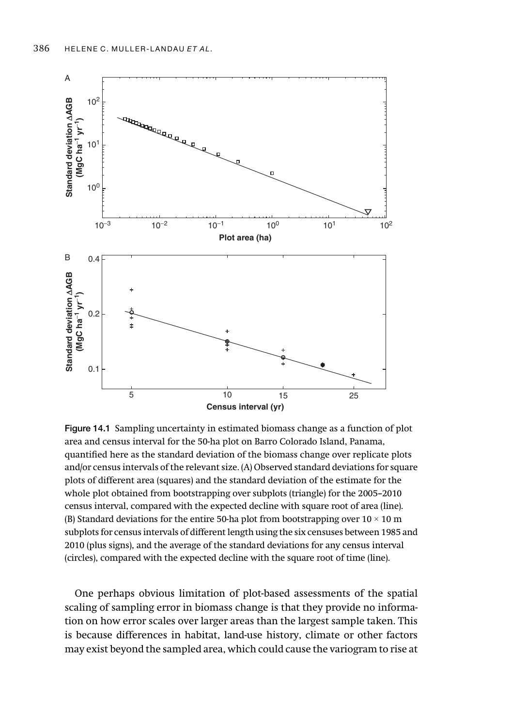

Figure 14.1 Sampling uncertainty in estimated biomass change as a function of plot area and census interval for the 50-ha plot on Barro Colorado Island, Panama, quantified here as the standard deviation of the biomass change over replicate plots and/or census intervals of the relevant size. (A) Observed standard deviations for square plots of different area (squares) and the standard deviation of the estimate for the whole plot obtained from bootstrapping over subplots (triangle) for the 2005–2010 census interval, compared with the expected decline with square root of area (line). (B) Standard deviations for the entire 50-ha plot from bootstrapping over  $10 \times 10$  m subplots for census intervals of different length using the six censuses between 1985 and 2010 (plus signs), and the average of the standard deviations for any census interval (circles), compared with the expected decline with the square root of time (line).

One perhaps obvious limitation of plot-based assessments of the spatial scaling of sampling error in biomass change is that they provide no information on how error scales over larger areas than the largest sample taken. This is because differences in habitat, land-use history, climate or other factors may exist beyond the sampled area, which could cause the variogram to rise at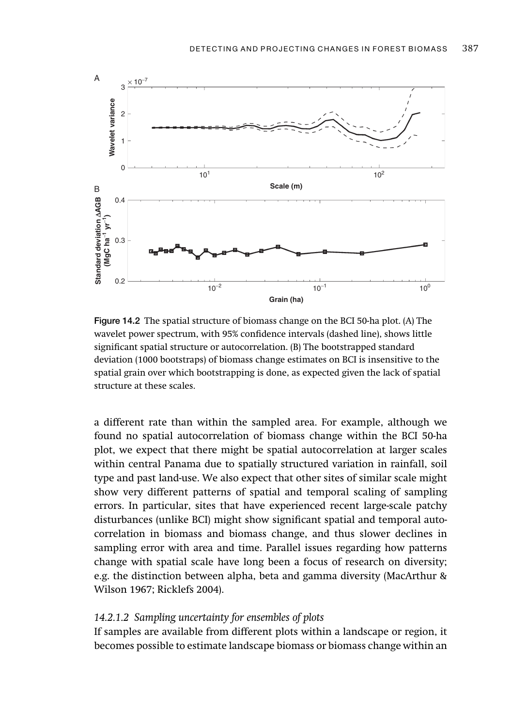

Figure 14.2 The spatial structure of biomass change on the BCI 50-ha plot. (A) The wavelet power spectrum, with 95% confidence intervals (dashed line), shows little significant spatial structure or autocorrelation. (B) The bootstrapped standard deviation (1000 bootstraps) of biomass change estimates on BCI is insensitive to the spatial grain over which bootstrapping is done, as expected given the lack of spatial structure at these scales.

a different rate than within the sampled area. For example, although we found no spatial autocorrelation of biomass change within the BCI 50-ha plot, we expect that there might be spatial autocorrelation at larger scales within central Panama due to spatially structured variation in rainfall, soil type and past land-use. We also expect that other sites of similar scale might show very different patterns of spatial and temporal scaling of sampling errors. In particular, sites that have experienced recent large-scale patchy disturbances (unlike BCI) might show significant spatial and temporal autocorrelation in biomass and biomass change, and thus slower declines in sampling error with area and time. Parallel issues regarding how patterns change with spatial scale have long been a focus of research on diversity; e.g. the distinction between alpha, beta and gamma diversity (MacArthur & Wilson 1967; Ricklefs 2004).

#### 14.2.1.2 Sampling uncertainty for ensembles of plots

If samples are available from different plots within a landscape or region, it becomes possible to estimate landscape biomass or biomass change within an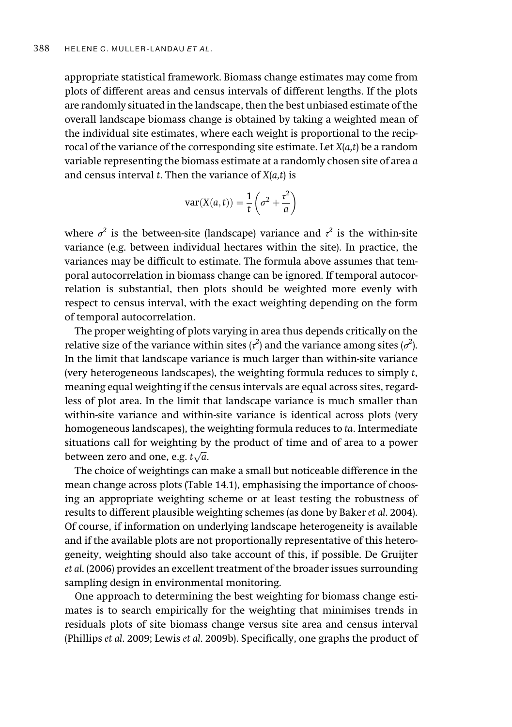appropriate statistical framework. Biomass change estimates may come from plots of different areas and census intervals of different lengths. If the plots are randomly situated in the landscape, then the best unbiased estimate of the overall landscape biomass change is obtained by taking a weighted mean of the individual site estimates, where each weight is proportional to the reciprocal of the variance of the corresponding site estimate. Let  $X(a,t)$  be a random variable representing the biomass estimate at a randomly chosen site of area a and census interval  $t$ . Then the variance of  $X(a,t)$  is

$$
var(X(a,t)) = \frac{1}{t} \left( \sigma^2 + \frac{\tau^2}{a} \right)
$$

where  $\sigma^2$  is the between-site (landscape) variance and  $\tau^2$  is the within-site variance (e.g. between individual hectares within the site). In practice, the variances may be difficult to estimate. The formula above assumes that temporal autocorrelation in biomass change can be ignored. If temporal autocorrelation is substantial, then plots should be weighted more evenly with respect to census interval, with the exact weighting depending on the form of temporal autocorrelation.

The proper weighting of plots varying in area thus depends critically on the relative size of the variance within sites ( $\tau^2$ ) and the variance among sites ( $\sigma^2$ ). In the limit that landscape variance is much larger than within-site variance (very heterogeneous landscapes), the weighting formula reduces to simply t, meaning equal weighting if the census intervals are equal across sites, regardless of plot area. In the limit that landscape variance is much smaller than within-site variance and within-site variance is identical across plots (very homogeneous landscapes), the weighting formula reduces to ta. Intermediate situations call for weighting by the product of time and of area to a power between zero and one, e.g.  $t\sqrt{a}$ .

The choice of weightings can make a small but noticeable difference in the mean change across plots (Table 14.1), emphasising the importance of choosing an appropriate weighting scheme or at least testing the robustness of results to different plausible weighting schemes (as done by Baker et al. 2004). Of course, if information on underlying landscape heterogeneity is available and if the available plots are not proportionally representative of this heterogeneity, weighting should also take account of this, if possible. De Gruijter et al. (2006) provides an excellent treatment of the broader issues surrounding sampling design in environmental monitoring.

One approach to determining the best weighting for biomass change estimates is to search empirically for the weighting that minimises trends in residuals plots of site biomass change versus site area and census interval (Phillips et al. 2009; Lewis et al. 2009b). Specifically, one graphs the product of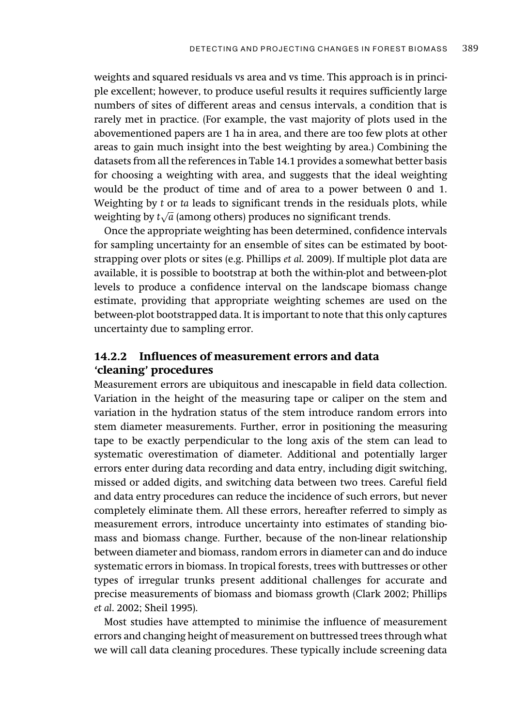weights and squared residuals vs area and vs time. This approach is in principle excellent; however, to produce useful results it requires sufficiently large numbers of sites of different areas and census intervals, a condition that is rarely met in practice. (For example, the vast majority of plots used in the abovementioned papers are 1 ha in area, and there are too few plots at other areas to gain much insight into the best weighting by area.) Combining the datasets from all the references in Table 14.1 provides a somewhat better basis for choosing a weighting with area, and suggests that the ideal weighting would be the product of time and of area to a power between 0 and 1. Weighting by t or ta leads to significant trends in the residuals plots, while weighting by  $t\sqrt{a}$  (among others) produces no significant trends.

Once the appropriate weighting has been determined, confidence intervals for sampling uncertainty for an ensemble of sites can be estimated by bootstrapping over plots or sites (e.g. Phillips et al. 2009). If multiple plot data are available, it is possible to bootstrap at both the within-plot and between-plot levels to produce a confidence interval on the landscape biomass change estimate, providing that appropriate weighting schemes are used on the between-plot bootstrapped data. It is important to note that this only captures uncertainty due to sampling error.

# 14.2.2 Influences of measurement errors and data 'cleaning' procedures

Measurement errors are ubiquitous and inescapable in field data collection. Variation in the height of the measuring tape or caliper on the stem and variation in the hydration status of the stem introduce random errors into stem diameter measurements. Further, error in positioning the measuring tape to be exactly perpendicular to the long axis of the stem can lead to systematic overestimation of diameter. Additional and potentially larger errors enter during data recording and data entry, including digit switching, missed or added digits, and switching data between two trees. Careful field and data entry procedures can reduce the incidence of such errors, but never completely eliminate them. All these errors, hereafter referred to simply as measurement errors, introduce uncertainty into estimates of standing biomass and biomass change. Further, because of the non-linear relationship between diameter and biomass, random errors in diameter can and do induce systematic errors in biomass. In tropical forests, trees with buttresses or other types of irregular trunks present additional challenges for accurate and precise measurements of biomass and biomass growth (Clark 2002; Phillips et al. 2002; Sheil 1995).

Most studies have attempted to minimise the influence of measurement errors and changing height of measurement on buttressed trees through what we will call data cleaning procedures. These typically include screening data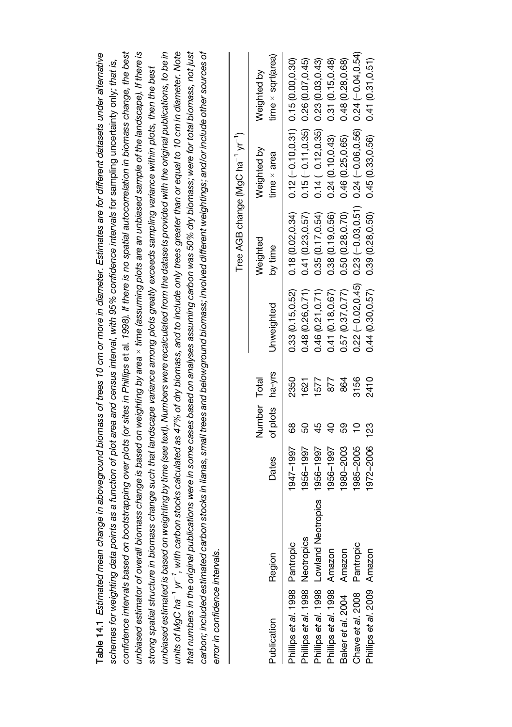| in aboveground biomass of trees 10 cm or more in diameter. Estimates are for different datasets under altemative<br>Table 14.1 Estimated mean change i               |
|----------------------------------------------------------------------------------------------------------------------------------------------------------------------|
| a function of plot area and census interval, with 95% confidence intervals for sampling uncertainty only; that is,<br>schemes for weighting data points as           |
| confidence intervals based on bootstrapping over plots (or sites in Phillips et al. 1998). If there is no spatial autocorrelation in biomass change, the best        |
| unbiased estimator of overall biomass change is based on weighting by area × time (assuming plots are an unbiased sample of the landscape). If there is              |
| strong spatial structure in biomass change such that landscape variance among plots greatly exceeds sampling variance within plots, then the best                    |
| unbiased estimated is based on weighting by time (see text). Numbers were recalculated from the datasets provided with the original publications, to be in           |
| units of MgC ha $^{-1}$ yr $^{-1}$ , with carbon stocks calculated as 47% of dry biomass, and to include only trees greater than or equal to 10 cm in diameter. Note |
| that numbers in the original publications were in some cases based on analyses assuming carbon was 50% dry biomass; were for total biomass, not just                 |
| carbon; included estimated carbon stocks in lianas, small trees and belowground biomass; involved different weightings; and/or include other sources of              |
| error in confidence intervals.                                                                                                                                       |
|                                                                                                                                                                      |

|                                 |                                         |               |                                    |      |                      | Tree AGB change (MgC ha <sup>-1</sup> yr <sup>-1</sup> )                                 |                                          |                                         |
|---------------------------------|-----------------------------------------|---------------|------------------------------------|------|----------------------|------------------------------------------------------------------------------------------|------------------------------------------|-----------------------------------------|
| Publication                     | Region                                  | <b>Dates</b>  | of plots ha-yrs<br>Number<br>Total |      | Unweighted           | Weighted<br>by time                                                                      | Neighted by<br>time $\times$ area        | $time \times$ sqrt(area)<br>Weighted by |
| Phillips et al. 1998 Pantropic  |                                         | 1947-1997     | 8                                  | 2350 |                      | $0.33$ $(0.15, 0.52)$ $0.18$ $(0.02, 0.34)$ $0.12$ $(-0.10, 0.31)$ $0.15$ $(0.00, 0.30)$ |                                          |                                         |
| Phillips et al. 1998 Neotropics |                                         | 1956-1997     |                                    | 621  | 0.48 (0.26,0.71)     | 0.41(0.23, 0.57)                                                                         | $0.15 (-0.11, 0.35)$ 0.26 $(0.07, 0.45)$ |                                         |
|                                 | Phillips et al. 1998 Lowland Neotropics | 1956-1997     | 45                                 | 1577 | 0.46 (0.21,0.71)     | 0.35(0.17, 0.54)                                                                         | $0.14 (-0.12, 0.35)$ 0.23 $(0.03, 0.43)$ |                                         |
| Phillips et al. 1998            | Amazon                                  | 956-1997      |                                    | 877  | 0.41 (0.18,0.67)     | 0.38(0.19, 0.56)                                                                         | 0.24(0.10, 0.43)                         | 0.31(0.15, 0.48)                        |
| Baker et al. 2004               | Amazon                                  | 1980-2003     | 89                                 | 864  | 0.57 (0.37, 0.77)    | 0.50(0.28, 0.70)                                                                         | 0.46(0.25, 0.65)                         | 0.48 (0.28,0.68)                        |
| Chave et al. 2008               | Pantropic                               | 1985-2005     |                                    | 3156 | $0.22 (-0.02, 0.45)$ | $0.23$ ( $-0.03, 0.51$ ) $0.24$ ( $-0.06, 0.56$ ) $0.24$ ( $-0.04, 0.54$ )               |                                          |                                         |
| Phillips et al. 2009 Amazon     |                                         | 1972-2006 123 |                                    | 2410 | 0.44(0.30, 0.57)     | $0.39(0.28, 0.50)$ $0.45(0.33, 0.56)$ $0.41(0.31, 0.51)$                                 |                                          |                                         |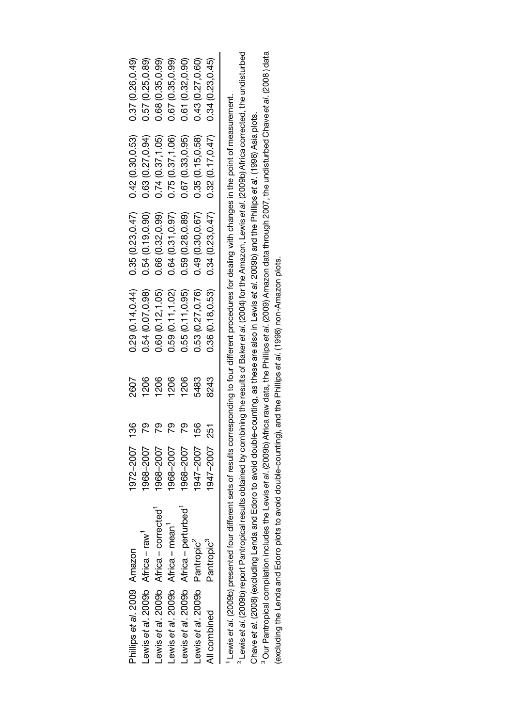| Phillips et al. 2009 Amazon              |                                       | 1972-2007 136 |    | 2607                                                                                                                                                                                                                                                                                                                           | 0.29(0.14, 0.44) | 0.35(0.23, 0.47) | 0.42(0.30, 0.53) | 0.37(0.26, 0.49) |
|------------------------------------------|---------------------------------------|---------------|----|--------------------------------------------------------------------------------------------------------------------------------------------------------------------------------------------------------------------------------------------------------------------------------------------------------------------------------|------------------|------------------|------------------|------------------|
| Lewis et al. $2009b$ Africa – raw        |                                       | 1968-2007     |    | 1206                                                                                                                                                                                                                                                                                                                           | 0.54 (0.07,0.98) | 0.54(0.19, 0.90) | 0.63(0.27, 0.94) | 0.57(0.25, 0.89) |
|                                          | Lewis et al. 2009b Africa - corrected | 1968-2007     | 52 | 1206                                                                                                                                                                                                                                                                                                                           | 0.60 (0.12,1.05) | 0.66 (0.32,0.99) | 0.74(0.37, 1.05) | 0.68 (0.35,0.99) |
| Lewis <i>et al.</i> 2009b Africa – mean  |                                       | 1968-2007     |    | 1206                                                                                                                                                                                                                                                                                                                           | 0.59 (0.11,1.02) | 0.64(0.31, 0.97) | 0.75(0.37, 1.06) | 0.67(0.35, 0.99) |
|                                          | Lewis et al. 2009b Africa - perturbed | 1968-2007     |    | 1206                                                                                                                                                                                                                                                                                                                           | 0.55 (0.11,0.95) | 0.59(0.28, 0.89) | 0.67(0.33, 0.95) | 0.61 (0.32,0.90) |
| ewis et al. 2009b Pantropic <sup>2</sup> |                                       | 1947-2007 156 |    | 5483                                                                                                                                                                                                                                                                                                                           | 0.53 (0.27,0.76) | 0.49(0.30, 0.67) | 0.35(0.15, 0.58) | 0.43 (0.27,0.60) |
| All combined                             | Pantropic <sup>3</sup>                | 1947-2007 251 |    | 8243                                                                                                                                                                                                                                                                                                                           | 0.36 (0.18,0.53) | 0.34(0.23, 0.47) | 0.32(0.17, 0.47) | 0.34(0.23, 0.45) |
|                                          |                                       |               |    | $\begin{bmatrix} 1 & 0 & 0 \\ 0 & 0 & 0 \\ 0 & 0 & 0 \\ 0 & 0 & 0 \\ 0 & 0 & 0 \\ 0 & 0 & 0 \\ 0 & 0 & 0 & 0 \\ 0 & 0 & 0 & 0 \\ 0 & 0 & 0 & 0 \\ 0 & 0 & 0 & 0 & 0 \\ 0 & 0 & 0 & 0 & 0 \\ 0 & 0 & 0 & 0 & 0 \\ 0 & 0 & 0 & 0 & 0 & 0 \\ 0 & 0 & 0 & 0 & 0 & 0 \\ 0 & 0 & 0 & 0 & 0 & 0 & 0 \\ 0 & 0 & 0 & 0 & 0 & 0 & 0 \\ $ |                  |                  |                  |                  |

<sup>3</sup> Our Pantropical compilation includes the Lewis et al. (2009b) Africa raw data, the Phillips et al. (2009) Amazon data through 2007, the undisturbed Chave et al. (2008) data <sup>2</sup> Lewiser al. (2009b) report Pantropical results obtained by combining the results of Baker et al. (2004) for the Amazon, Lewis et al. (2009b) Africa corrected, the undisturbed Lewis et al. (2009b) report Pantropical results obtained by combining the results of Baker et al. (2004) for the Amazon, Lewis et al. (2009b) Africa corrected, the undisturbed Our Pantropical compilation includes the Lewis et al. (2009b) Africa raw data, the Phillips et al. (2009) Amazon data through 2007, the undisturbed Chave et al. (2008 ) data Lewis et al. (2009b) presented four different sets of results corresponding to four different procedures for dealing with changes in the point of measurement. Lewis et al. (2009b) presented four different sets of results corresponding to four different procedures for dealing with changes in the point of measurement. Chave et al. (2008) (excluding Lenda and Edoro to avoid double-counting, as these are also in Lewis et al. 2009b) and the Phillips et al. (1998) Asia plots. Chave et al. (2008) (excluding Lenda and Edoro to avoid double-counting, as these are also in Lewis et al. 2009b) and the Phillips et al. (1998) Asia plots. (excluding the Lenda and Edoro plots to avoid double-counting), and the Phillips et al. (1998) non-Amazon plots. (excluding the Lenda and Edoro plots to avoid double-counting), and the Phillips et al. (1998) non-Amazon plots.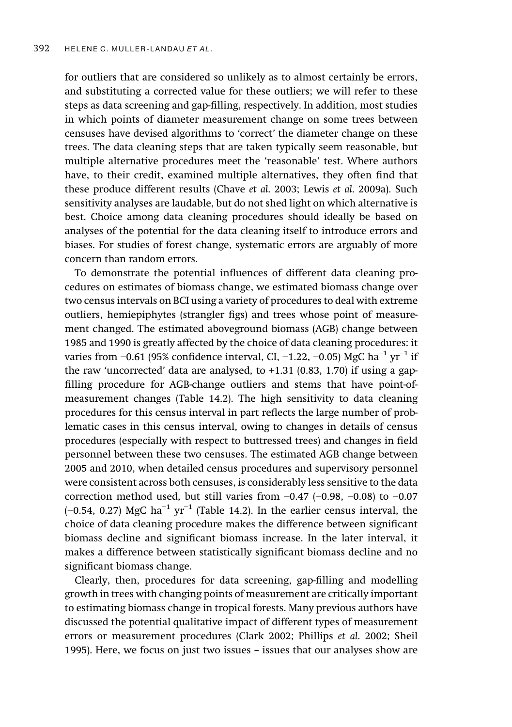for outliers that are considered so unlikely as to almost certainly be errors, and substituting a corrected value for these outliers; we will refer to these steps as data screening and gap-filling, respectively. In addition, most studies in which points of diameter measurement change on some trees between censuses have devised algorithms to 'correct' the diameter change on these trees. The data cleaning steps that are taken typically seem reasonable, but multiple alternative procedures meet the 'reasonable' test. Where authors have, to their credit, examined multiple alternatives, they often find that these produce different results (Chave et al. 2003; Lewis et al. 2009a). Such sensitivity analyses are laudable, but do not shed light on which alternative is best. Choice among data cleaning procedures should ideally be based on analyses of the potential for the data cleaning itself to introduce errors and biases. For studies of forest change, systematic errors are arguably of more concern than random errors.

To demonstrate the potential influences of different data cleaning procedures on estimates of biomass change, we estimated biomass change over two census intervals on BCI using a variety of procedures to deal with extreme outliers, hemiepiphytes (strangler figs) and trees whose point of measurement changed. The estimated aboveground biomass (AGB) change between 1985 and 1990 is greatly affected by the choice of data cleaning procedures: it varies from −0.61 (95% confidence interval, CI, −1.22, −0.05) MgC ha<sup>-1</sup> yr<sup>-1</sup> if the raw 'uncorrected' data are analysed, to +1.31 (0.83, 1.70) if using a gapfilling procedure for AGB-change outliers and stems that have point-ofmeasurement changes (Table 14.2). The high sensitivity to data cleaning procedures for this census interval in part reflects the large number of problematic cases in this census interval, owing to changes in details of census procedures (especially with respect to buttressed trees) and changes in field personnel between these two censuses. The estimated AGB change between 2005 and 2010, when detailed census procedures and supervisory personnel were consistent across both censuses, is considerably less sensitive to the data correction method used, but still varies from −0.47 (−0.98, −0.08) to −0.07 ( $-0.54$ , 0.27) MgC ha<sup>-1</sup> yr<sup>-1</sup> (Table 14.2). In the earlier census interval, the choice of data cleaning procedure makes the difference between significant biomass decline and significant biomass increase. In the later interval, it makes a difference between statistically significant biomass decline and no significant biomass change.

Clearly, then, procedures for data screening, gap-filling and modelling growth in trees with changing points of measurement are critically important to estimating biomass change in tropical forests. Many previous authors have discussed the potential qualitative impact of different types of measurement errors or measurement procedures (Clark 2002; Phillips et al. 2002; Sheil 1995). Here, we focus on just two issues – issues that our analyses show are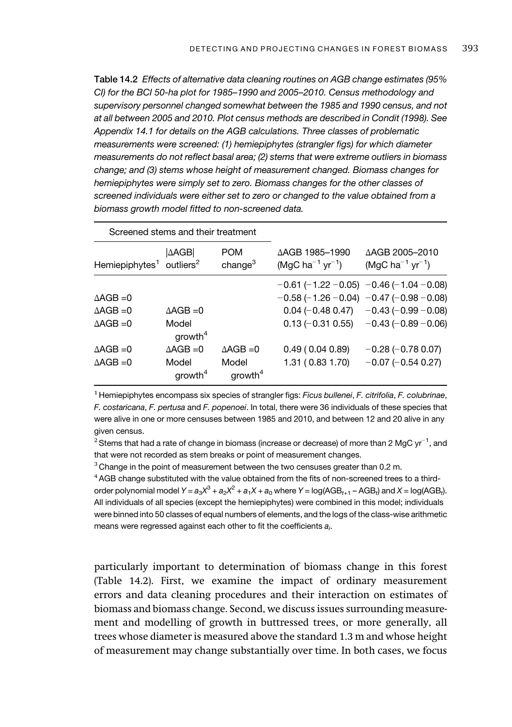Table 14.2 Effects of alternative data cleaning routines on AGB change estimates (95% CI) for the BCI 50-ha plot for 1985–1990 and 2005–2010. Census methodology and supervisory personnel changed somewhat between the 1985 and 1990 census, and not at all between 2005 and 2010. Plot census methods are described in Condit (1998). See Appendix 14.1 for details on the AGB calculations. Three classes of problematic measurements were screened: (1) hemiepiphytes (strangler figs) for which diameter measurements do not reflect basal area; (2) stems that were extreme outliers in biomass change; and (3) stems whose height of measurement changed. Biomass changes for hemiepiphytes were simply set to zero. Biomass changes for the other classes of screened individuals were either set to zero or changed to the value obtained from a biomass growth model fitted to non-screened data.

|                                                  | Screened stems and their treatment |                                   |                                           |                                                   |
|--------------------------------------------------|------------------------------------|-----------------------------------|-------------------------------------------|---------------------------------------------------|
| Hemiepiphytes <sup>1</sup> outliers <sup>2</sup> | ∣∆AGB                              | <b>POM</b><br>change <sup>3</sup> | AAGB 1985-1990<br>$(MgC ha^{-1} yr^{-1})$ | AAGB 2005-2010<br>$(MgC ha^{-1} yr^{-1})$         |
|                                                  |                                    |                                   |                                           | $-0.61$ (-1.22 $-0.05$ ) $-0.46$ (-1.04 $-0.08$ ) |
| $\triangle AGB = 0$                              |                                    |                                   |                                           | $-0.58$ (-1.26 -0.04) -0.47 (-0.98 -0.08)         |
| $\triangle AGB = 0$                              | $\triangle AGB = 0$                |                                   |                                           | $0.04 (-0.48 0.47) -0.43 (-0.99 -0.08)$           |
| $\triangle AGB = 0$                              | Model<br>growth <sup>4</sup>       |                                   |                                           | $0.13 (-0.31 0.55) -0.43 (-0.89 -0.06)$           |
| $\triangle AGB = 0$                              | $\triangle AGB = 0$                | $\triangle AGB = 0$               | 0.49(0.040.89)                            | $-0.28(-0.780.07)$                                |
| $\triangle AGB = 0$                              | Model<br>growth <sup>4</sup>       | Model<br>growth <sup>4</sup>      | 1.31 (0.83 1.70)                          | $-0.07$ (-0.54 0.27)                              |

 $<sup>1</sup>$  Hemiepiphytes encompass six species of strangler figs: Ficus bullenei, F. citrifolia, F. colubrinae,</sup> F. costaricana, F. pertusa and F. popenoei. In total, there were 36 individuals of these species that were alive in one or more censuses between 1985 and 2010, and between 12 and 20 alive in any given census.

 $^2$ Stems that had a rate of change in biomass (increase or decrease) of more than 2 MgC yr $^{-1}$ , and that were not recorded as stem breaks or point of measurement changes.

 $3$  Change in the point of measurement between the two censuses greater than 0.2 m.

<sup>4</sup>AGB change substituted with the value obtained from the fits of non-screened trees to a thirdorder polynomial model  $Y = a_2X^3 + a_2X^2 + a_1X + a_0$  where  $Y = \log(AGB_{t+1} - AGB_t)$  and  $X = \log(AGB_t)$ . All individuals of all species (except the hemiepiphytes) were combined in this model; individuals were binned into 50 classes of equal numbers of elements, and the logs of the class-wise arithmetic means were regressed against each other to fit the coefficients  $a_i$ .

particularly important to determination of biomass change in this forest (Table 14.2). First, we examine the impact of ordinary measurement errors and data cleaning procedures and their interaction on estimates of biomass and biomass change. Second, we discuss issues surrounding measurement and modelling of growth in buttressed trees, or more generally, all trees whose diameter is measured above the standard 1.3 m and whose height of measurement may change substantially over time. In both cases, we focus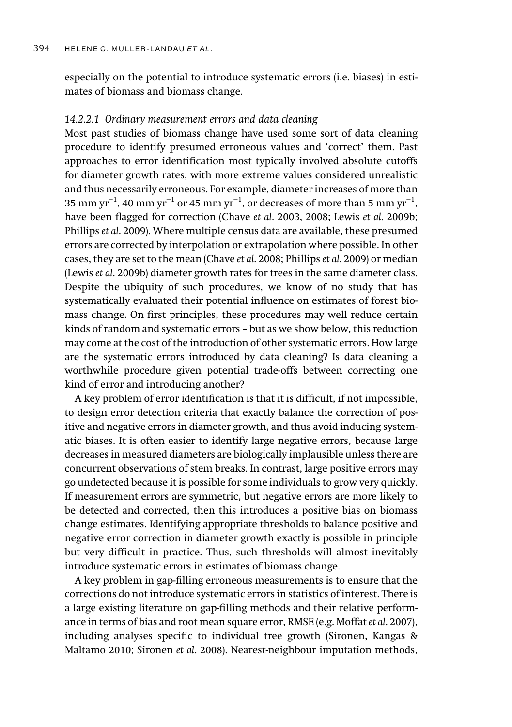especially on the potential to introduce systematic errors (i.e. biases) in estimates of biomass and biomass change.

#### 14.2.2.1 Ordinary measurement errors and data cleaning

Most past studies of biomass change have used some sort of data cleaning procedure to identify presumed erroneous values and 'correct' them. Past approaches to error identification most typically involved absolute cutoffs for diameter growth rates, with more extreme values considered unrealistic and thus necessarily erroneous. For example, diameter increases of more than 35 mm yr $^{-1}$ , 40 mm yr $^{-1}$  or 45 mm yr $^{-1}$ , or decreases of more than 5 mm yr $^{-1}$ , have been flagged for correction (Chave et al. 2003, 2008; Lewis et al. 2009b; Phillips et al. 2009). Where multiple census data are available, these presumed errors are corrected by interpolation or extrapolation where possible. In other cases, they are set to the mean (Chave et al. 2008; Phillips et al. 2009) or median (Lewis et al. 2009b) diameter growth rates for trees in the same diameter class. Despite the ubiquity of such procedures, we know of no study that has systematically evaluated their potential influence on estimates of forest biomass change. On first principles, these procedures may well reduce certain kinds of random and systematic errors – but as we show below, this reduction may come at the cost of the introduction of other systematic errors. How large are the systematic errors introduced by data cleaning? Is data cleaning a worthwhile procedure given potential trade-offs between correcting one kind of error and introducing another?

A key problem of error identification is that it is difficult, if not impossible, to design error detection criteria that exactly balance the correction of positive and negative errors in diameter growth, and thus avoid inducing systematic biases. It is often easier to identify large negative errors, because large decreases in measured diameters are biologically implausible unless there are concurrent observations of stem breaks. In contrast, large positive errors may go undetected because it is possible for some individuals to grow very quickly. If measurement errors are symmetric, but negative errors are more likely to be detected and corrected, then this introduces a positive bias on biomass change estimates. Identifying appropriate thresholds to balance positive and negative error correction in diameter growth exactly is possible in principle but very difficult in practice. Thus, such thresholds will almost inevitably introduce systematic errors in estimates of biomass change.

A key problem in gap-filling erroneous measurements is to ensure that the corrections do not introduce systematic errors in statistics of interest. There is a large existing literature on gap-filling methods and their relative performance in terms of bias and root mean square error, RMSE (e.g. Moffat et al. 2007), including analyses specific to individual tree growth (Sironen, Kangas & Maltamo 2010; Sironen et al. 2008). Nearest-neighbour imputation methods,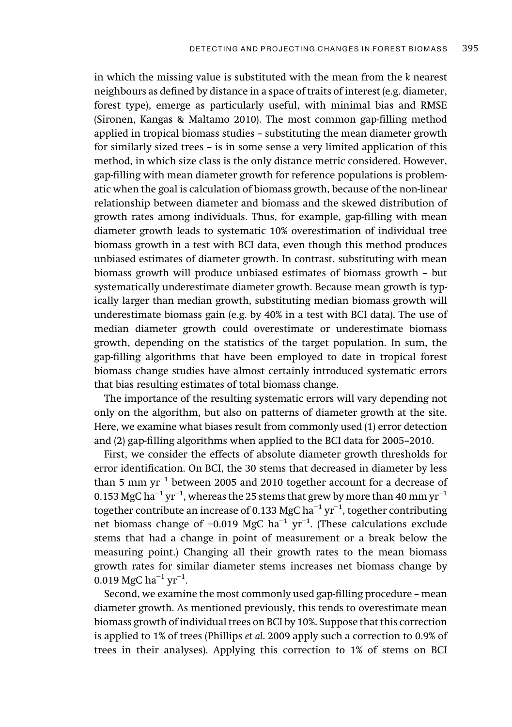in which the missing value is substituted with the mean from the k nearest neighbours as defined by distance in a space of traits of interest (e.g. diameter, forest type), emerge as particularly useful, with minimal bias and RMSE (Sironen, Kangas & Maltamo 2010). The most common gap-filling method applied in tropical biomass studies – substituting the mean diameter growth for similarly sized trees – is in some sense a very limited application of this method, in which size class is the only distance metric considered. However, gap-filling with mean diameter growth for reference populations is problematic when the goal is calculation of biomass growth, because of the non-linear relationship between diameter and biomass and the skewed distribution of growth rates among individuals. Thus, for example, gap-filling with mean diameter growth leads to systematic 10% overestimation of individual tree biomass growth in a test with BCI data, even though this method produces unbiased estimates of diameter growth. In contrast, substituting with mean biomass growth will produce unbiased estimates of biomass growth – but systematically underestimate diameter growth. Because mean growth is typically larger than median growth, substituting median biomass growth will underestimate biomass gain (e.g. by 40% in a test with BCI data). The use of median diameter growth could overestimate or underestimate biomass growth, depending on the statistics of the target population. In sum, the gap-filling algorithms that have been employed to date in tropical forest biomass change studies have almost certainly introduced systematic errors that bias resulting estimates of total biomass change.

The importance of the resulting systematic errors will vary depending not only on the algorithm, but also on patterns of diameter growth at the site. Here, we examine what biases result from commonly used (1) error detection and (2) gap-filling algorithms when applied to the BCI data for 2005–2010.

First, we consider the effects of absolute diameter growth thresholds for error identification. On BCI, the 30 stems that decreased in diameter by less than 5 mm  $yr^{-1}$  between 2005 and 2010 together account for a decrease of  $0.153\,{\rm MgC\,ha^{-1}\,yr^{-1}}$ , whereas the 25 stems that grew by more than 40 mm  ${\rm yr}^{-1}$ together contribute an increase of 0.133 MgC ha $^{-1}\,\rm yr^{-1}$ , together contributing net biomass change of −0.019 MgC ha<sup>-1</sup> yr<sup>-1</sup>. (These calculations exclude stems that had a change in point of measurement or a break below the measuring point.) Changing all their growth rates to the mean biomass growth rates for similar diameter stems increases net biomass change by 0.019 MgC  $ha^{-1}$  yr<sup>-1</sup>.

Second, we examine the most commonly used gap-filling procedure – mean diameter growth. As mentioned previously, this tends to overestimate mean biomass growth of individual trees on BCI by 10%. Suppose that this correction is applied to 1% of trees (Phillips et al. 2009 apply such a correction to 0.9% of trees in their analyses). Applying this correction to 1% of stems on BCI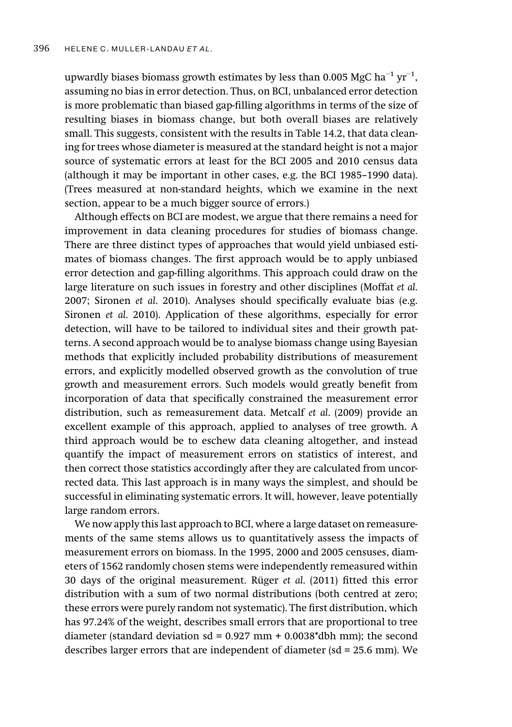upwardly biases biomass growth estimates by less than 0.005 MgC ha $^{-1}$  yr $^{-1}\!,$ assuming no bias in error detection. Thus, on BCI, unbalanced error detection is more problematic than biased gap-filling algorithms in terms of the size of resulting biases in biomass change, but both overall biases are relatively small. This suggests, consistent with the results in Table 14.2, that data cleaning for trees whose diameter is measured at the standard height is not a major source of systematic errors at least for the BCI 2005 and 2010 census data (although it may be important in other cases, e.g. the BCI 1985–1990 data). (Trees measured at non-standard heights, which we examine in the next section, appear to be a much bigger source of errors.)

Although effects on BCI are modest, we argue that there remains a need for improvement in data cleaning procedures for studies of biomass change. There are three distinct types of approaches that would yield unbiased estimates of biomass changes. The first approach would be to apply unbiased error detection and gap-filling algorithms. This approach could draw on the large literature on such issues in forestry and other disciplines (Moffat et al. 2007; Sironen et al. 2010). Analyses should specifically evaluate bias (e.g. Sironen et al. 2010). Application of these algorithms, especially for error detection, will have to be tailored to individual sites and their growth patterns. A second approach would be to analyse biomass change using Bayesian methods that explicitly included probability distributions of measurement errors, and explicitly modelled observed growth as the convolution of true growth and measurement errors. Such models would greatly benefit from incorporation of data that specifically constrained the measurement error distribution, such as remeasurement data. Metcalf et al. (2009) provide an excellent example of this approach, applied to analyses of tree growth. A third approach would be to eschew data cleaning altogether, and instead quantify the impact of measurement errors on statistics of interest, and then correct those statistics accordingly after they are calculated from uncorrected data. This last approach is in many ways the simplest, and should be successful in eliminating systematic errors. It will, however, leave potentially large random errors.

We now apply this last approach to BCI, where a large dataset on remeasurements of the same stems allows us to quantitatively assess the impacts of measurement errors on biomass. In the 1995, 2000 and 2005 censuses, diameters of 1562 randomly chosen stems were independently remeasured within 30 days of the original measurement. Rüger *et al.* (2011) fitted this error distribution with a sum of two normal distributions (both centred at zero; these errors were purely random not systematic). The first distribution, which has 97.24% of the weight, describes small errors that are proportional to tree diameter (standard deviation sd =  $0.927$  mm +  $0.0038$ \*dbh mm); the second describes larger errors that are independent of diameter (sd = 25.6 mm). We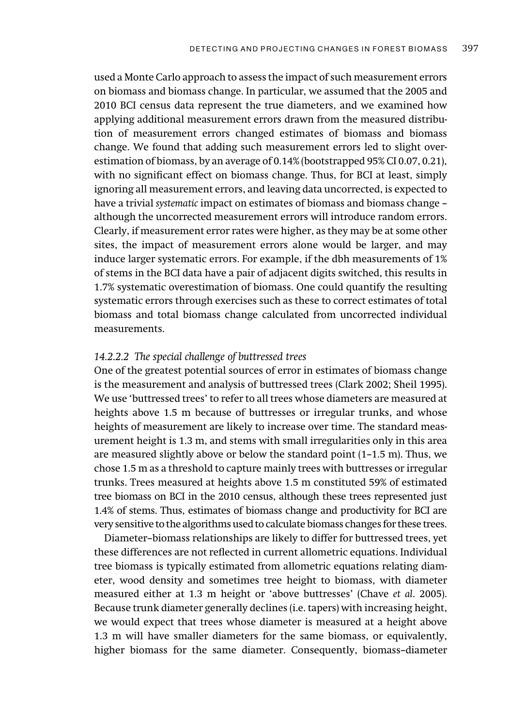used a Monte Carlo approach to assess the impact of such measurement errors on biomass and biomass change. In particular, we assumed that the 2005 and 2010 BCI census data represent the true diameters, and we examined how applying additional measurement errors drawn from the measured distribution of measurement errors changed estimates of biomass and biomass change. We found that adding such measurement errors led to slight overestimation of biomass, by an average of 0.14% (bootstrapped 95% CI 0.07, 0.21), with no significant effect on biomass change. Thus, for BCI at least, simply ignoring all measurement errors, and leaving data uncorrected, is expected to have a trivial systematic impact on estimates of biomass and biomass change – although the uncorrected measurement errors will introduce random errors. Clearly, if measurement error rates were higher, as they may be at some other sites, the impact of measurement errors alone would be larger, and may induce larger systematic errors. For example, if the dbh measurements of 1% of stems in the BCI data have a pair of adjacent digits switched, this results in 1.7% systematic overestimation of biomass. One could quantify the resulting systematic errors through exercises such as these to correct estimates of total biomass and total biomass change calculated from uncorrected individual measurements.

#### 14.2.2.2 The special challenge of buttressed trees

One of the greatest potential sources of error in estimates of biomass change is the measurement and analysis of buttressed trees (Clark 2002; Sheil 1995). We use 'buttressed trees' to refer to all trees whose diameters are measured at heights above 1.5 m because of buttresses or irregular trunks, and whose heights of measurement are likely to increase over time. The standard measurement height is 1.3 m, and stems with small irregularities only in this area are measured slightly above or below the standard point (1–1.5 m). Thus, we chose 1.5 m as a threshold to capture mainly trees with buttresses or irregular trunks. Trees measured at heights above 1.5 m constituted 59% of estimated tree biomass on BCI in the 2010 census, although these trees represented just 1.4% of stems. Thus, estimates of biomass change and productivity for BCI are very sensitive to the algorithms used to calculate biomass changes for these trees.

Diameter–biomass relationships are likely to differ for buttressed trees, yet these differences are not reflected in current allometric equations. Individual tree biomass is typically estimated from allometric equations relating diameter, wood density and sometimes tree height to biomass, with diameter measured either at 1.3 m height or 'above buttresses' (Chave et al. 2005). Because trunk diameter generally declines (i.e. tapers) with increasing height, we would expect that trees whose diameter is measured at a height above 1.3 m will have smaller diameters for the same biomass, or equivalently, higher biomass for the same diameter. Consequently, biomass–diameter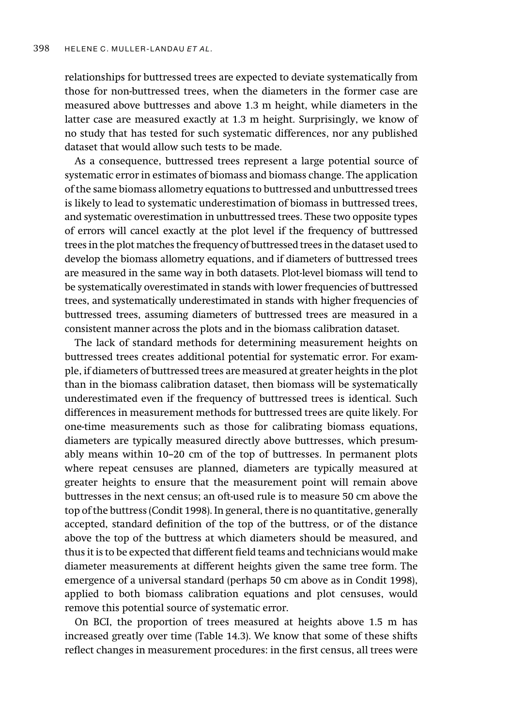relationships for buttressed trees are expected to deviate systematically from those for non-buttressed trees, when the diameters in the former case are measured above buttresses and above 1.3 m height, while diameters in the latter case are measured exactly at 1.3 m height. Surprisingly, we know of no study that has tested for such systematic differences, nor any published dataset that would allow such tests to be made.

As a consequence, buttressed trees represent a large potential source of systematic error in estimates of biomass and biomass change. The application of the same biomass allometry equations to buttressed and unbuttressed trees is likely to lead to systematic underestimation of biomass in buttressed trees, and systematic overestimation in unbuttressed trees. These two opposite types of errors will cancel exactly at the plot level if the frequency of buttressed trees in the plot matches the frequency of buttressed trees in the dataset used to develop the biomass allometry equations, and if diameters of buttressed trees are measured in the same way in both datasets. Plot-level biomass will tend to be systematically overestimated in stands with lower frequencies of buttressed trees, and systematically underestimated in stands with higher frequencies of buttressed trees, assuming diameters of buttressed trees are measured in a consistent manner across the plots and in the biomass calibration dataset.

The lack of standard methods for determining measurement heights on buttressed trees creates additional potential for systematic error. For example, if diameters of buttressed trees are measured at greater heights in the plot than in the biomass calibration dataset, then biomass will be systematically underestimated even if the frequency of buttressed trees is identical. Such differences in measurement methods for buttressed trees are quite likely. For one-time measurements such as those for calibrating biomass equations, diameters are typically measured directly above buttresses, which presumably means within 10–20 cm of the top of buttresses. In permanent plots where repeat censuses are planned, diameters are typically measured at greater heights to ensure that the measurement point will remain above buttresses in the next census; an oft-used rule is to measure 50 cm above the top of the buttress (Condit 1998). In general, there is no quantitative, generally accepted, standard definition of the top of the buttress, or of the distance above the top of the buttress at which diameters should be measured, and thus it is to be expected that different field teams and technicians would make diameter measurements at different heights given the same tree form. The emergence of a universal standard (perhaps 50 cm above as in Condit 1998), applied to both biomass calibration equations and plot censuses, would remove this potential source of systematic error.

On BCI, the proportion of trees measured at heights above 1.5 m has increased greatly over time (Table 14.3). We know that some of these shifts reflect changes in measurement procedures: in the first census, all trees were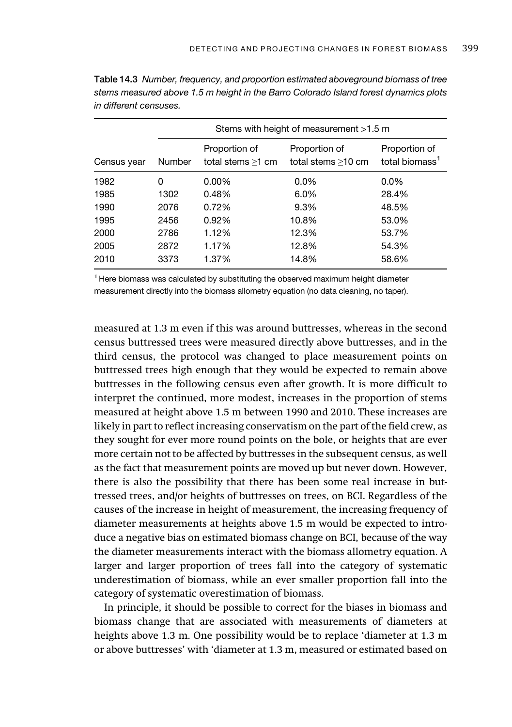|             | Stems with height of measurement >1.5 m |                                      |                                     |                                             |  |  |  |  |
|-------------|-----------------------------------------|--------------------------------------|-------------------------------------|---------------------------------------------|--|--|--|--|
| Census year | Number                                  | Proportion of<br>total stems $>1$ cm | Proportion of<br>total stems ≥10 cm | Proportion of<br>total biomass <sup>1</sup> |  |  |  |  |
| 1982        | 0                                       | $0.00\%$                             | $0.0\%$                             | $0.0\%$                                     |  |  |  |  |
| 1985        | 1302                                    | 0.48%                                | 6.0%                                | 28.4%                                       |  |  |  |  |
| 1990        | 2076                                    | 0.72%                                | 9.3%                                | 48.5%                                       |  |  |  |  |
| 1995        | 2456                                    | 0.92%                                | 10.8%                               | 53.0%                                       |  |  |  |  |
| 2000        | 2786                                    | 1.12%                                | 12.3%                               | 53.7%                                       |  |  |  |  |
| 2005        | 2872                                    | 1.17%                                | 12.8%                               | 54.3%                                       |  |  |  |  |
| 2010        | 3373                                    | 1.37%                                | 14.8%                               | 58.6%                                       |  |  |  |  |

Table 14.3 Number, frequency, and proportion estimated aboveground biomass of tree stems measured above 1.5 m height in the Barro Colorado Island forest dynamics plots in different censuses.

 $<sup>1</sup>$  Here biomass was calculated by substituting the observed maximum height diameter</sup> measurement directly into the biomass allometry equation (no data cleaning, no taper).

measured at 1.3 m even if this was around buttresses, whereas in the second census buttressed trees were measured directly above buttresses, and in the third census, the protocol was changed to place measurement points on buttressed trees high enough that they would be expected to remain above buttresses in the following census even after growth. It is more difficult to interpret the continued, more modest, increases in the proportion of stems measured at height above 1.5 m between 1990 and 2010. These increases are likely in part to reflect increasing conservatism on the part of the field crew, as they sought for ever more round points on the bole, or heights that are ever more certain not to be affected by buttresses in the subsequent census, as well as the fact that measurement points are moved up but never down. However, there is also the possibility that there has been some real increase in buttressed trees, and/or heights of buttresses on trees, on BCI. Regardless of the causes of the increase in height of measurement, the increasing frequency of diameter measurements at heights above 1.5 m would be expected to introduce a negative bias on estimated biomass change on BCI, because of the way the diameter measurements interact with the biomass allometry equation. A larger and larger proportion of trees fall into the category of systematic underestimation of biomass, while an ever smaller proportion fall into the category of systematic overestimation of biomass.

In principle, it should be possible to correct for the biases in biomass and biomass change that are associated with measurements of diameters at heights above 1.3 m. One possibility would be to replace 'diameter at 1.3 m or above buttresses' with 'diameter at 1.3 m, measured or estimated based on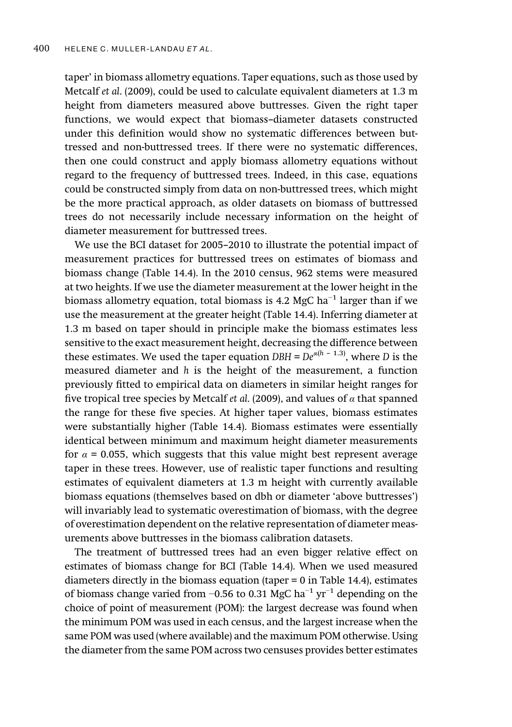taper' in biomass allometry equations. Taper equations, such as those used by Metcalf et al. (2009), could be used to calculate equivalent diameters at 1.3 m height from diameters measured above buttresses. Given the right taper functions, we would expect that biomass–diameter datasets constructed under this definition would show no systematic differences between buttressed and non-buttressed trees. If there were no systematic differences, then one could construct and apply biomass allometry equations without regard to the frequency of buttressed trees. Indeed, in this case, equations could be constructed simply from data on non-buttressed trees, which might be the more practical approach, as older datasets on biomass of buttressed trees do not necessarily include necessary information on the height of diameter measurement for buttressed trees.

We use the BCI dataset for 2005–2010 to illustrate the potential impact of measurement practices for buttressed trees on estimates of biomass and biomass change (Table 14.4). In the 2010 census, 962 stems were measured at two heights. If we use the diameter measurement at the lower height in the biomass allometry equation, total biomass is 4.2 MgC ha<sup> $-1$ </sup> larger than if we use the measurement at the greater height (Table 14.4). Inferring diameter at 1.3 m based on taper should in principle make the biomass estimates less sensitive to the exact measurement height, decreasing the difference between these estimates. We used the taper equation  $DBH = De^{\alpha(h - 1.3)}$ , where D is the measured diameter and h is the height of the measurement, a function previously fitted to empirical data on diameters in similar height ranges for five tropical tree species by Metcalf et al. (2009), and values of  $\alpha$  that spanned the range for these five species. At higher taper values, biomass estimates were substantially higher (Table 14.4). Biomass estimates were essentially identical between minimum and maximum height diameter measurements for  $\alpha$  = 0.055, which suggests that this value might best represent average taper in these trees. However, use of realistic taper functions and resulting estimates of equivalent diameters at 1.3 m height with currently available biomass equations (themselves based on dbh or diameter 'above buttresses') will invariably lead to systematic overestimation of biomass, with the degree of overestimation dependent on the relative representation of diameter measurements above buttresses in the biomass calibration datasets.

The treatment of buttressed trees had an even bigger relative effect on estimates of biomass change for BCI (Table 14.4). When we used measured diameters directly in the biomass equation (taper  $= 0$  in Table 14.4), estimates of biomass change varied from −0.56 to 0.31 MgC ha<sup>-1</sup> yr<sup>-1</sup> depending on the choice of point of measurement (POM): the largest decrease was found when the minimum POM was used in each census, and the largest increase when the same POM was used (where available) and the maximum POM otherwise. Using the diameter from the same POM across two censuses provides better estimates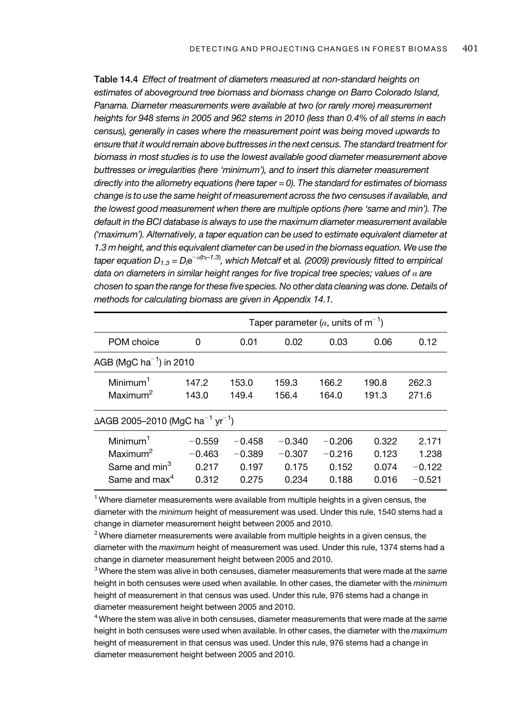Table 14.4 Effect of treatment of diameters measured at non-standard heights on estimates of aboveground tree biomass and biomass change on Barro Colorado Island, Panama. Diameter measurements were available at two (or rarely more) measurement heights for 948 stems in 2005 and 962 stems in 2010 (less than 0.4% of all stems in each census), generally in cases where the measurement point was being moved upwards to ensure that it would remain above buttresses in the next census. The standard treatment for biomass in most studies is to use the lowest available good diameter measurement above buttresses or irregularities (here 'minimum'), and to insert this diameter measurement directly into the allometry equations (here taper  $= 0$ ). The standard for estimates of biomass change is to use the same height of measurement across the two censuses if available, and the lowest good measurement when there are multiple options (here 'same and min'). The default in the BCI database is always to use the maximum diameter measurement available ('maximum'). Alternatively, a taper equation can be used to estimate equivalent diameter at 1.3 m height, and this equivalent diameter can be used in the biomass equation. We use the taper equation  $D_{1.3}$  = D<sub>i</sub>e<sup>-α(h,-1.3)</sup>, which Metcalf et al. (2009) previously fitted to empirical data on diameters in similar height ranges for five tropical tree species; values of  $\alpha$  are chosen to span the range for these five species. No other data cleaning was done. Details of methods for calculating biomass are given in Appendix 14.1.

|                                     |                                                                    |          |          | Taper parameter ( $\alpha$ , units of m <sup>-1</sup> ) |       |          |  |  |
|-------------------------------------|--------------------------------------------------------------------|----------|----------|---------------------------------------------------------|-------|----------|--|--|
| POM choice                          | 0                                                                  | 0.01     | 0.02     | 0.03                                                    | 0.06  | 0.12     |  |  |
| AGB (MgC ha <sup>-1</sup> ) in 2010 |                                                                    |          |          |                                                         |       |          |  |  |
| Minimum <sup>1</sup>                | 147.2                                                              | 153.0    | 159.3    | 166.2                                                   | 190.8 | 262.3    |  |  |
| Maximum <sup>2</sup>                | 143.0                                                              | 149.4    | 156.4    | 164.0                                                   | 191.3 | 271.6    |  |  |
|                                     | $\triangle$ AGB 2005-2010 (MgC ha <sup>-1</sup> yr <sup>-1</sup> ) |          |          |                                                         |       |          |  |  |
| Minimum <sup>1</sup>                | $-0.559$                                                           | $-0.458$ | $-0.340$ | $-0.206$                                                | 0.322 | 2.171    |  |  |
| Maximum <sup>2</sup>                | $-0.463$                                                           | $-0.389$ | $-0.307$ | $-0.216$                                                | 0.123 | 1.238    |  |  |
| Same and min <sup>3</sup>           | 0.217                                                              | 0.197    | 0.175    | 0.152                                                   | 0.074 | $-0.122$ |  |  |
| Same and max $4$                    | 0.312                                                              | 0.275    | 0.234    | 0.188                                                   | 0.016 | $-0.521$ |  |  |

<sup>1</sup> Where diameter measurements were available from multiple heights in a given census, the diameter with the *minimum* height of measurement was used. Under this rule, 1540 stems had a change in diameter measurement height between 2005 and 2010.

 $<sup>2</sup>$  Where diameter measurements were available from multiple heights in a given census, the</sup> diameter with the maximum height of measurement was used. Under this rule, 1374 stems had a change in diameter measurement height between 2005 and 2010.

 $3$  Where the stem was alive in both censuses, diameter measurements that were made at the same height in both censuses were used when available. In other cases, the diameter with the minimum height of measurement in that census was used. Under this rule, 976 stems had a change in diameter measurement height between 2005 and 2010.

 $4$  Where the stem was alive in both censuses, diameter measurements that were made at the same height in both censuses were used when available. In other cases, the diameter with the maximum height of measurement in that census was used. Under this rule, 976 stems had a change in diameter measurement height between 2005 and 2010.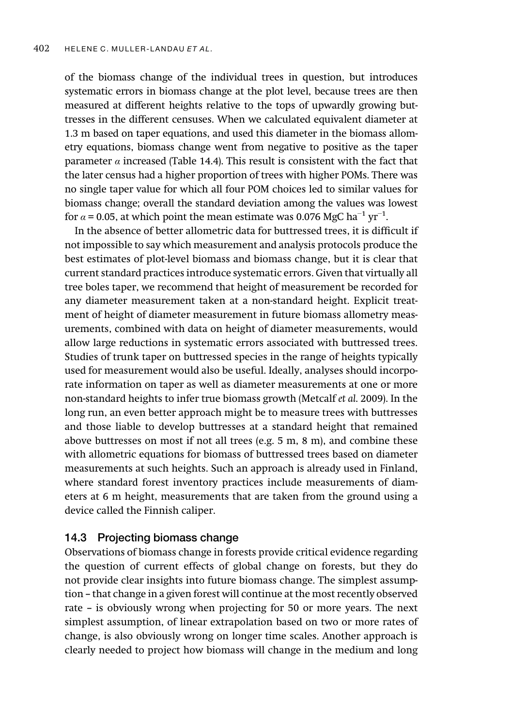of the biomass change of the individual trees in question, but introduces systematic errors in biomass change at the plot level, because trees are then measured at different heights relative to the tops of upwardly growing buttresses in the different censuses. When we calculated equivalent diameter at 1.3 m based on taper equations, and used this diameter in the biomass allometry equations, biomass change went from negative to positive as the taper parameter  $\alpha$  increased (Table 14.4). This result is consistent with the fact that the later census had a higher proportion of trees with higher POMs. There was no single taper value for which all four POM choices led to similar values for biomass change; overall the standard deviation among the values was lowest for  $\alpha$  = 0.05, at which point the mean estimate was 0.076 MgC ha $^{-1}$  yr $^{-1}$ .

In the absence of better allometric data for buttressed trees, it is difficult if not impossible to say which measurement and analysis protocols produce the best estimates of plot-level biomass and biomass change, but it is clear that current standard practices introduce systematic errors. Given that virtually all tree boles taper, we recommend that height of measurement be recorded for any diameter measurement taken at a non-standard height. Explicit treatment of height of diameter measurement in future biomass allometry measurements, combined with data on height of diameter measurements, would allow large reductions in systematic errors associated with buttressed trees. Studies of trunk taper on buttressed species in the range of heights typically used for measurement would also be useful. Ideally, analyses should incorporate information on taper as well as diameter measurements at one or more non-standard heights to infer true biomass growth (Metcalf et al. 2009). In the long run, an even better approach might be to measure trees with buttresses and those liable to develop buttresses at a standard height that remained above buttresses on most if not all trees (e.g. 5 m, 8 m), and combine these with allometric equations for biomass of buttressed trees based on diameter measurements at such heights. Such an approach is already used in Finland, where standard forest inventory practices include measurements of diameters at 6 m height, measurements that are taken from the ground using a device called the Finnish caliper.

#### 14.3 Projecting biomass change

Observations of biomass change in forests provide critical evidence regarding the question of current effects of global change on forests, but they do not provide clear insights into future biomass change. The simplest assumption – that change in a given forest will continue at the most recently observed rate – is obviously wrong when projecting for 50 or more years. The next simplest assumption, of linear extrapolation based on two or more rates of change, is also obviously wrong on longer time scales. Another approach is clearly needed to project how biomass will change in the medium and long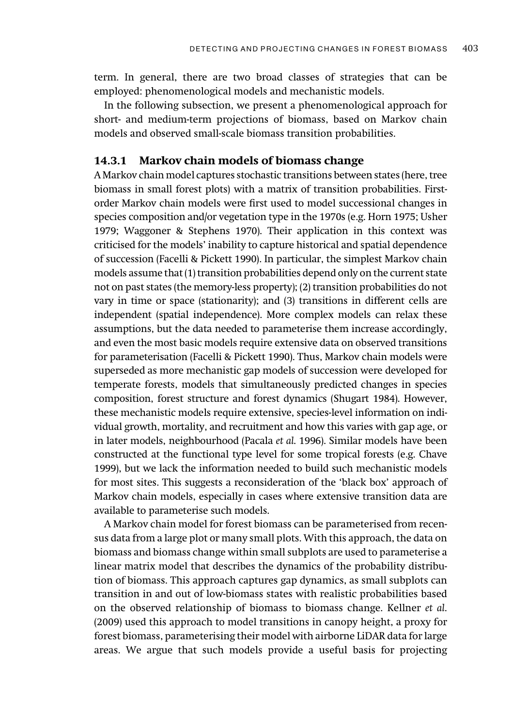term. In general, there are two broad classes of strategies that can be employed: phenomenological models and mechanistic models.

In the following subsection, we present a phenomenological approach for short- and medium-term projections of biomass, based on Markov chain models and observed small-scale biomass transition probabilities.

## 14.3.1 Markov chain models of biomass change

A Markov chain model captures stochastic transitions between states (here, tree biomass in small forest plots) with a matrix of transition probabilities. Firstorder Markov chain models were first used to model successional changes in species composition and/or vegetation type in the 1970s (e.g. Horn 1975; Usher 1979; Waggoner & Stephens 1970). Their application in this context was criticised for the models' inability to capture historical and spatial dependence of succession (Facelli & Pickett 1990). In particular, the simplest Markov chain models assume that (1) transition probabilities depend only on the current state not on past states (the memory-less property); (2) transition probabilities do not vary in time or space (stationarity); and (3) transitions in different cells are independent (spatial independence). More complex models can relax these assumptions, but the data needed to parameterise them increase accordingly, and even the most basic models require extensive data on observed transitions for parameterisation (Facelli & Pickett 1990). Thus, Markov chain models were superseded as more mechanistic gap models of succession were developed for temperate forests, models that simultaneously predicted changes in species composition, forest structure and forest dynamics (Shugart 1984). However, these mechanistic models require extensive, species-level information on individual growth, mortality, and recruitment and how this varies with gap age, or in later models, neighbourhood (Pacala et al. 1996). Similar models have been constructed at the functional type level for some tropical forests (e.g. Chave 1999), but we lack the information needed to build such mechanistic models for most sites. This suggests a reconsideration of the 'black box' approach of Markov chain models, especially in cases where extensive transition data are available to parameterise such models.

A Markov chain model for forest biomass can be parameterised from recensus data from a large plot or many small plots. With this approach, the data on biomass and biomass change within small subplots are used to parameterise a linear matrix model that describes the dynamics of the probability distribution of biomass. This approach captures gap dynamics, as small subplots can transition in and out of low-biomass states with realistic probabilities based on the observed relationship of biomass to biomass change. Kellner et al. (2009) used this approach to model transitions in canopy height, a proxy for forest biomass, parameterising their model with airborne LiDAR data for large areas. We argue that such models provide a useful basis for projecting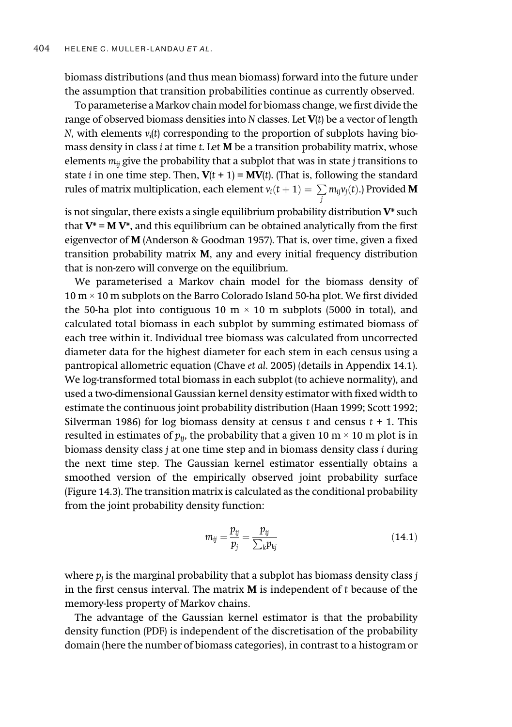biomass distributions (and thus mean biomass) forward into the future under the assumption that transition probabilities continue as currently observed.

To parameterise a Markov chain model for biomass change, we first divide the range of observed biomass densities into N classes. Let  $V(t)$  be a vector of length N, with elements  $v_i(t)$  corresponding to the proportion of subplots having biomass density in class  $i$  at time  $t$ . Let  $M$  be a transition probability matrix, whose elements  $m_{ii}$  give the probability that a subplot that was in state *j* transitions to state *i* in one time step. Then,  $V(t + 1) = MV(t)$ . (That is, following the standard rules of matrix multiplication, each element  $v_i(t+1) = \sum\limits_j m_{ij} v_j(t)$ .) Provided **M** j

is not singular, there exists a single equilibrium probability distribution  $V^*$  such that  $V^* = M V^*$ , and this equilibrium can be obtained analytically from the first eigenvector of M (Anderson & Goodman 1957). That is, over time, given a fixed transition probability matrix M, any and every initial frequency distribution that is non-zero will converge on the equilibrium.

We parameterised a Markov chain model for the biomass density of  $10 \text{ m} \times 10 \text{ m}$  subplots on the Barro Colorado Island 50-ha plot. We first divided the 50-ha plot into contiguous 10 m  $\times$  10 m subplots (5000 in total), and calculated total biomass in each subplot by summing estimated biomass of each tree within it. Individual tree biomass was calculated from uncorrected diameter data for the highest diameter for each stem in each census using a pantropical allometric equation (Chave et al. 2005) (details in Appendix 14.1). We log-transformed total biomass in each subplot (to achieve normality), and used a two-dimensional Gaussian kernel density estimator with fixed width to estimate the continuous joint probability distribution (Haan 1999; Scott 1992; Silverman 1986) for log biomass density at census t and census  $t + 1$ . This resulted in estimates of  $p_{ij}$ , the probability that a given 10 m  $\times$  10 m plot is in biomass density class j at one time step and in biomass density class i during the next time step. The Gaussian kernel estimator essentially obtains a smoothed version of the empirically observed joint probability surface (Figure 14.3). The transition matrix is calculated as the conditional probability from the joint probability density function:

$$
m_{ij} = \frac{p_{ij}}{p_j} = \frac{p_{ij}}{\sum_k p_{kj}}
$$
(14.1)

where  $p_i$  is the marginal probability that a subplot has biomass density class j in the first census interval. The matrix  $M$  is independent of  $t$  because of the memory-less property of Markov chains.

The advantage of the Gaussian kernel estimator is that the probability density function (PDF) is independent of the discretisation of the probability domain (here the number of biomass categories), in contrast to a histogram or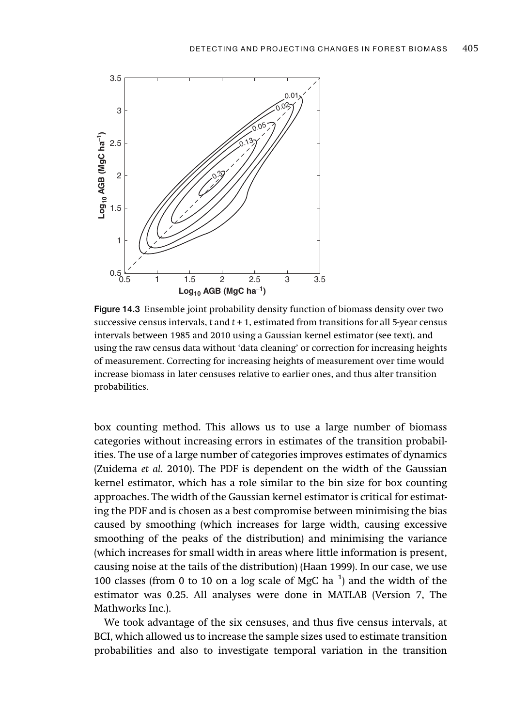

Figure 14.3 Ensemble joint probability density function of biomass density over two successive census intervals,  $t$  and  $t + 1$ , estimated from transitions for all 5-year census intervals between 1985 and 2010 using a Gaussian kernel estimator (see text), and using the raw census data without 'data cleaning' or correction for increasing heights of measurement. Correcting for increasing heights of measurement over time would increase biomass in later censuses relative to earlier ones, and thus alter transition probabilities.

box counting method. This allows us to use a large number of biomass categories without increasing errors in estimates of the transition probabilities. The use of a large number of categories improves estimates of dynamics (Zuidema et al. 2010). The PDF is dependent on the width of the Gaussian kernel estimator, which has a role similar to the bin size for box counting approaches. The width of the Gaussian kernel estimator is critical for estimating the PDF and is chosen as a best compromise between minimising the bias caused by smoothing (which increases for large width, causing excessive smoothing of the peaks of the distribution) and minimising the variance (which increases for small width in areas where little information is present, causing noise at the tails of the distribution) (Haan 1999). In our case, we use 100 classes (from 0 to 10 on a log scale of MgC  $ha^{-1}$ ) and the width of the estimator was 0.25. All analyses were done in MATLAB (Version 7, The Mathworks Inc.).

We took advantage of the six censuses, and thus five census intervals, at BCI, which allowed us to increase the sample sizes used to estimate transition probabilities and also to investigate temporal variation in the transition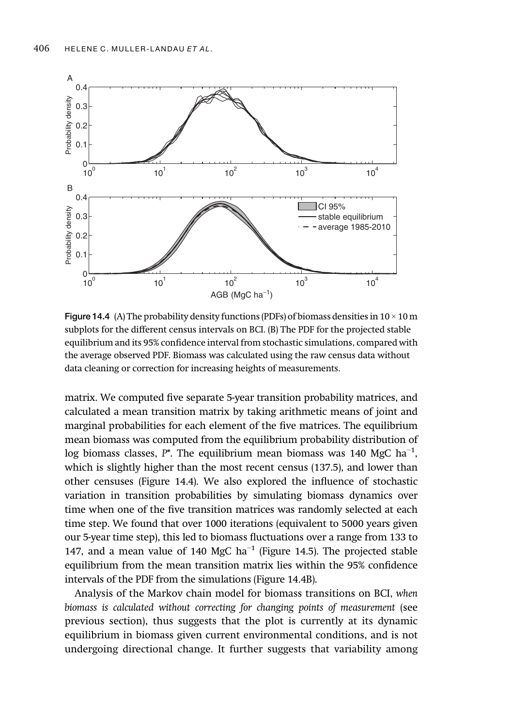

Figure 14.4 (A) The probability density functions (PDFs) of biomass densities in  $10 \times 10$  m subplots for the different census intervals on BCI. (B) The PDF for the projected stable equilibrium and its 95% confidence interval from stochastic simulations, compared with the average observed PDF. Biomass was calculated using the raw census data without data cleaning or correction for increasing heights of measurements.

matrix. We computed five separate 5-year transition probability matrices, and calculated a mean transition matrix by taking arithmetic means of joint and marginal probabilities for each element of the five matrices. The equilibrium mean biomass was computed from the equilibrium probability distribution of log biomass classes,  $P^*$ . The equilibrium mean biomass was 140 MgC ha<sup>-1</sup>, which is slightly higher than the most recent census (137.5), and lower than other censuses (Figure 14.4). We also explored the influence of stochastic variation in transition probabilities by simulating biomass dynamics over time when one of the five transition matrices was randomly selected at each time step. We found that over 1000 iterations (equivalent to 5000 years given our 5-year time step), this led to biomass fluctuations over a range from 133 to 147, and a mean value of 140 MgC ha<sup> $-1$ </sup> (Figure 14.5). The projected stable equilibrium from the mean transition matrix lies within the 95% confidence intervals of the PDF from the simulations (Figure 14.4B).

Analysis of the Markov chain model for biomass transitions on BCI, when biomass is calculated without correcting for changing points of measurement (see previous section), thus suggests that the plot is currently at its dynamic equilibrium in biomass given current environmental conditions, and is not undergoing directional change. It further suggests that variability among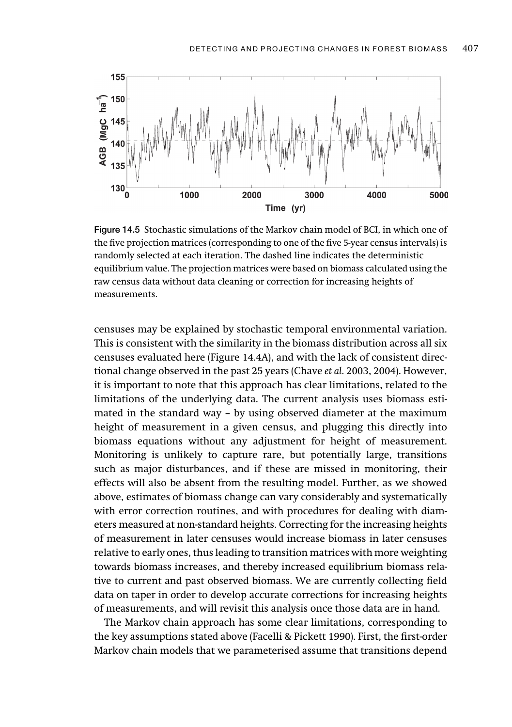

Figure 14.5 Stochastic simulations of the Markov chain model of BCI, in which one of the five projection matrices (corresponding to one of the five 5-year census intervals) is randomly selected at each iteration. The dashed line indicates the deterministic equilibrium value. The projection matrices were based on biomass calculated using the raw census data without data cleaning or correction for increasing heights of measurements.

censuses may be explained by stochastic temporal environmental variation. This is consistent with the similarity in the biomass distribution across all six censuses evaluated here (Figure 14.4A), and with the lack of consistent directional change observed in the past 25 years (Chave et al. 2003, 2004). However, it is important to note that this approach has clear limitations, related to the limitations of the underlying data. The current analysis uses biomass estimated in the standard way – by using observed diameter at the maximum height of measurement in a given census, and plugging this directly into biomass equations without any adjustment for height of measurement. Monitoring is unlikely to capture rare, but potentially large, transitions such as major disturbances, and if these are missed in monitoring, their effects will also be absent from the resulting model. Further, as we showed above, estimates of biomass change can vary considerably and systematically with error correction routines, and with procedures for dealing with diameters measured at non-standard heights. Correcting for the increasing heights of measurement in later censuses would increase biomass in later censuses relative to early ones, thus leading to transition matrices with more weighting towards biomass increases, and thereby increased equilibrium biomass relative to current and past observed biomass. We are currently collecting field data on taper in order to develop accurate corrections for increasing heights of measurements, and will revisit this analysis once those data are in hand.

The Markov chain approach has some clear limitations, corresponding to the key assumptions stated above (Facelli & Pickett 1990). First, the first-order Markov chain models that we parameterised assume that transitions depend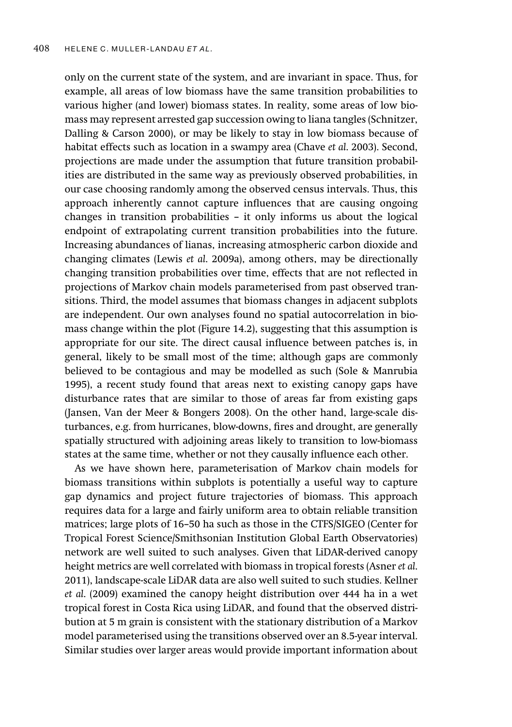only on the current state of the system, and are invariant in space. Thus, for example, all areas of low biomass have the same transition probabilities to various higher (and lower) biomass states. In reality, some areas of low biomass may represent arrested gap succession owing to liana tangles (Schnitzer, Dalling & Carson 2000), or may be likely to stay in low biomass because of habitat effects such as location in a swampy area (Chave et al. 2003). Second, projections are made under the assumption that future transition probabilities are distributed in the same way as previously observed probabilities, in our case choosing randomly among the observed census intervals. Thus, this approach inherently cannot capture influences that are causing ongoing changes in transition probabilities – it only informs us about the logical endpoint of extrapolating current transition probabilities into the future. Increasing abundances of lianas, increasing atmospheric carbon dioxide and changing climates (Lewis et al. 2009a), among others, may be directionally changing transition probabilities over time, effects that are not reflected in projections of Markov chain models parameterised from past observed transitions. Third, the model assumes that biomass changes in adjacent subplots are independent. Our own analyses found no spatial autocorrelation in biomass change within the plot (Figure 14.2), suggesting that this assumption is appropriate for our site. The direct causal influence between patches is, in general, likely to be small most of the time; although gaps are commonly believed to be contagious and may be modelled as such (Sole & Manrubia 1995), a recent study found that areas next to existing canopy gaps have disturbance rates that are similar to those of areas far from existing gaps (Jansen, Van der Meer & Bongers 2008). On the other hand, large-scale disturbances, e.g. from hurricanes, blow-downs, fires and drought, are generally spatially structured with adjoining areas likely to transition to low-biomass states at the same time, whether or not they causally influence each other.

As we have shown here, parameterisation of Markov chain models for biomass transitions within subplots is potentially a useful way to capture gap dynamics and project future trajectories of biomass. This approach requires data for a large and fairly uniform area to obtain reliable transition matrices; large plots of 16–50 ha such as those in the CTFS/SIGEO (Center for Tropical Forest Science/Smithsonian Institution Global Earth Observatories) network are well suited to such analyses. Given that LiDAR-derived canopy height metrics are well correlated with biomass in tropical forests (Asner et al. 2011), landscape-scale LiDAR data are also well suited to such studies. Kellner et al. (2009) examined the canopy height distribution over 444 ha in a wet tropical forest in Costa Rica using LiDAR, and found that the observed distribution at 5 m grain is consistent with the stationary distribution of a Markov model parameterised using the transitions observed over an 8.5-year interval. Similar studies over larger areas would provide important information about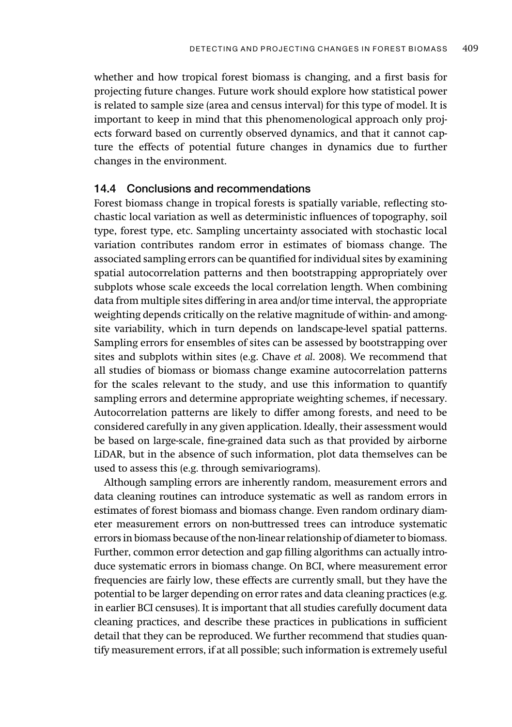whether and how tropical forest biomass is changing, and a first basis for projecting future changes. Future work should explore how statistical power is related to sample size (area and census interval) for this type of model. It is important to keep in mind that this phenomenological approach only projects forward based on currently observed dynamics, and that it cannot capture the effects of potential future changes in dynamics due to further changes in the environment.

#### 14.4 Conclusions and recommendations

Forest biomass change in tropical forests is spatially variable, reflecting stochastic local variation as well as deterministic influences of topography, soil type, forest type, etc. Sampling uncertainty associated with stochastic local variation contributes random error in estimates of biomass change. The associated sampling errors can be quantified for individual sites by examining spatial autocorrelation patterns and then bootstrapping appropriately over subplots whose scale exceeds the local correlation length. When combining data from multiple sites differing in area and/or time interval, the appropriate weighting depends critically on the relative magnitude of within- and amongsite variability, which in turn depends on landscape-level spatial patterns. Sampling errors for ensembles of sites can be assessed by bootstrapping over sites and subplots within sites (e.g. Chave et al. 2008). We recommend that all studies of biomass or biomass change examine autocorrelation patterns for the scales relevant to the study, and use this information to quantify sampling errors and determine appropriate weighting schemes, if necessary. Autocorrelation patterns are likely to differ among forests, and need to be considered carefully in any given application. Ideally, their assessment would be based on large-scale, fine-grained data such as that provided by airborne LiDAR, but in the absence of such information, plot data themselves can be used to assess this (e.g. through semivariograms).

Although sampling errors are inherently random, measurement errors and data cleaning routines can introduce systematic as well as random errors in estimates of forest biomass and biomass change. Even random ordinary diameter measurement errors on non-buttressed trees can introduce systematic errors in biomass because of the non-linear relationship of diameter to biomass. Further, common error detection and gap filling algorithms can actually introduce systematic errors in biomass change. On BCI, where measurement error frequencies are fairly low, these effects are currently small, but they have the potential to be larger depending on error rates and data cleaning practices (e.g. in earlier BCI censuses). It is important that all studies carefully document data cleaning practices, and describe these practices in publications in sufficient detail that they can be reproduced. We further recommend that studies quantify measurement errors, if at all possible; such information is extremely useful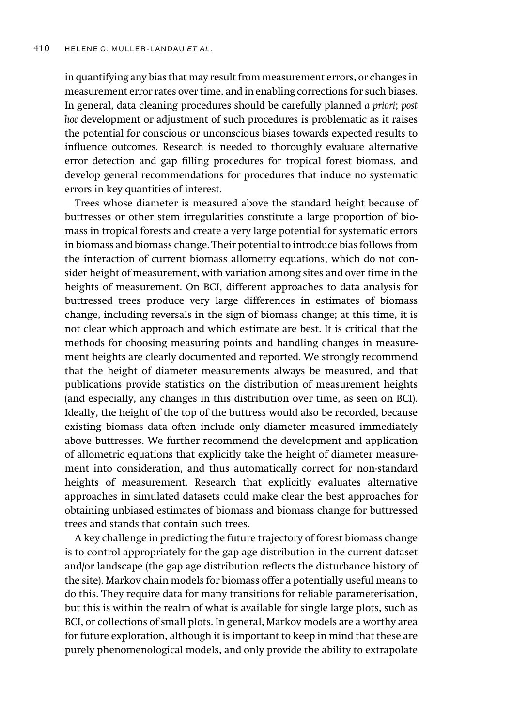in quantifying any bias that may result from measurement errors, or changes in measurement error rates over time, and in enabling corrections for such biases. In general, data cleaning procedures should be carefully planned a priori; post hoc development or adjustment of such procedures is problematic as it raises the potential for conscious or unconscious biases towards expected results to influence outcomes. Research is needed to thoroughly evaluate alternative error detection and gap filling procedures for tropical forest biomass, and develop general recommendations for procedures that induce no systematic errors in key quantities of interest.

Trees whose diameter is measured above the standard height because of buttresses or other stem irregularities constitute a large proportion of biomass in tropical forests and create a very large potential for systematic errors in biomass and biomass change. Their potential to introduce bias follows from the interaction of current biomass allometry equations, which do not consider height of measurement, with variation among sites and over time in the heights of measurement. On BCI, different approaches to data analysis for buttressed trees produce very large differences in estimates of biomass change, including reversals in the sign of biomass change; at this time, it is not clear which approach and which estimate are best. It is critical that the methods for choosing measuring points and handling changes in measurement heights are clearly documented and reported. We strongly recommend that the height of diameter measurements always be measured, and that publications provide statistics on the distribution of measurement heights (and especially, any changes in this distribution over time, as seen on BCI). Ideally, the height of the top of the buttress would also be recorded, because existing biomass data often include only diameter measured immediately above buttresses. We further recommend the development and application of allometric equations that explicitly take the height of diameter measurement into consideration, and thus automatically correct for non-standard heights of measurement. Research that explicitly evaluates alternative approaches in simulated datasets could make clear the best approaches for obtaining unbiased estimates of biomass and biomass change for buttressed trees and stands that contain such trees.

A key challenge in predicting the future trajectory of forest biomass change is to control appropriately for the gap age distribution in the current dataset and/or landscape (the gap age distribution reflects the disturbance history of the site). Markov chain models for biomass offer a potentially useful means to do this. They require data for many transitions for reliable parameterisation, but this is within the realm of what is available for single large plots, such as BCI, or collections of small plots. In general, Markov models are a worthy area for future exploration, although it is important to keep in mind that these are purely phenomenological models, and only provide the ability to extrapolate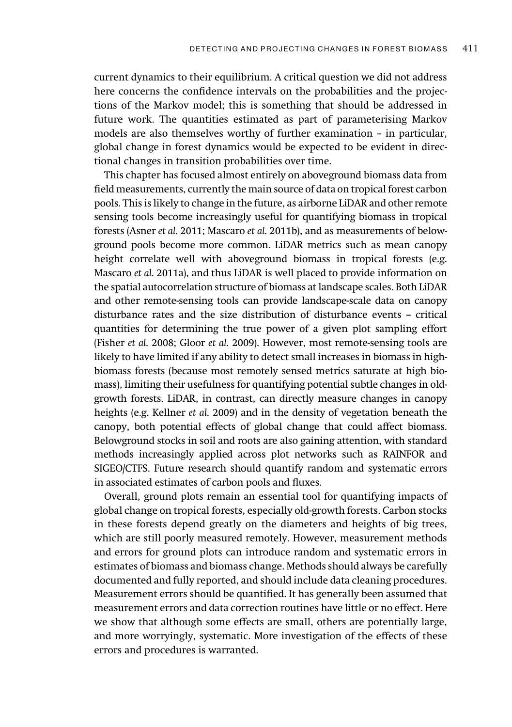current dynamics to their equilibrium. A critical question we did not address here concerns the confidence intervals on the probabilities and the projections of the Markov model; this is something that should be addressed in future work. The quantities estimated as part of parameterising Markov models are also themselves worthy of further examination – in particular, global change in forest dynamics would be expected to be evident in directional changes in transition probabilities over time.

This chapter has focused almost entirely on aboveground biomass data from field measurements, currently the main source of data on tropical forest carbon pools. This is likely to change in the future, as airborne LiDAR and other remote sensing tools become increasingly useful for quantifying biomass in tropical forests (Asner et al. 2011; Mascaro et al. 2011b), and as measurements of belowground pools become more common. LiDAR metrics such as mean canopy height correlate well with aboveground biomass in tropical forests (e.g. Mascaro et al. 2011a), and thus LiDAR is well placed to provide information on the spatial autocorrelation structure of biomass at landscape scales. Both LiDAR and other remote-sensing tools can provide landscape-scale data on canopy disturbance rates and the size distribution of disturbance events – critical quantities for determining the true power of a given plot sampling effort (Fisher et al. 2008; Gloor et al. 2009). However, most remote-sensing tools are likely to have limited if any ability to detect small increases in biomass in highbiomass forests (because most remotely sensed metrics saturate at high biomass), limiting their usefulness for quantifying potential subtle changes in oldgrowth forests. LiDAR, in contrast, can directly measure changes in canopy heights (e.g. Kellner et al. 2009) and in the density of vegetation beneath the canopy, both potential effects of global change that could affect biomass. Belowground stocks in soil and roots are also gaining attention, with standard methods increasingly applied across plot networks such as RAINFOR and SIGEO/CTFS. Future research should quantify random and systematic errors in associated estimates of carbon pools and fluxes.

Overall, ground plots remain an essential tool for quantifying impacts of global change on tropical forests, especially old-growth forests. Carbon stocks in these forests depend greatly on the diameters and heights of big trees, which are still poorly measured remotely. However, measurement methods and errors for ground plots can introduce random and systematic errors in estimates of biomass and biomass change. Methods should always be carefully documented and fully reported, and should include data cleaning procedures. Measurement errors should be quantified. It has generally been assumed that measurement errors and data correction routines have little or no effect. Here we show that although some effects are small, others are potentially large, and more worryingly, systematic. More investigation of the effects of these errors and procedures is warranted.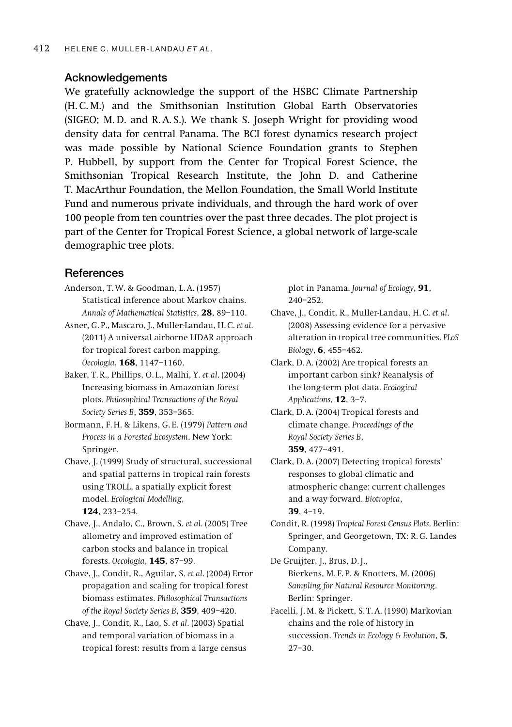## Acknowledgements

We gratefully acknowledge the support of the HSBC Climate Partnership (H. C. M.) and the Smithsonian Institution Global Earth Observatories (SIGEO; M. D. and R. A. S.). We thank S. Joseph Wright for providing wood density data for central Panama. The BCI forest dynamics research project was made possible by National Science Foundation grants to Stephen P. Hubbell, by support from the Center for Tropical Forest Science, the Smithsonian Tropical Research Institute, the John D. and Catherine T. MacArthur Foundation, the Mellon Foundation, the Small World Institute Fund and numerous private individuals, and through the hard work of over 100 people from ten countries over the past three decades. The plot project is part of the Center for Tropical Forest Science, a global network of large-scale demographic tree plots.

# **References**

- Anderson, T. W. & Goodman, L. A. (1957) Statistical inference about Markov chains. Annals of Mathematical Statistics, 28, 89-110.
- Asner, G. P., Mascaro, J., Muller-Landau, H. C. et al. (2011) A universal airborne LIDAR approach for tropical forest carbon mapping. Oecologia, 168, 1147–1160.
- Baker, T. R., Phillips, O. L., Malhi, Y. et al. (2004) Increasing biomass in Amazonian forest plots. Philosophical Transactions of the Royal Society Series B, 359, 353–365.
- Bormann, F. H. & Likens, G. E. (1979) Pattern and Process in a Forested Ecosystem. New York: Springer.
- Chave, J. (1999) Study of structural, successional and spatial patterns in tropical rain forests using TROLL, a spatially explicit forest model. Ecological Modelling, 124, 233–254.
- Chave, J., Andalo, C., Brown, S. et al. (2005) Tree allometry and improved estimation of carbon stocks and balance in tropical forests. Oecologia, 145, 87–99.
- Chave, J., Condit, R., Aguilar, S. et al. (2004) Error propagation and scaling for tropical forest biomass estimates. Philosophical Transactions of the Royal Society Series B, 359, 409–420.
- Chave, J., Condit, R., Lao, S. et al. (2003) Spatial and temporal variation of biomass in a tropical forest: results from a large census

plot in Panama. Journal of Ecology, 91, 240–252.

- Chave, J., Condit, R., Muller-Landau, H. C. et al. (2008) Assessing evidence for a pervasive alteration in tropical tree communities. PLoS Biology, 6, 455–462.
- Clark, D. A. (2002) Are tropical forests an important carbon sink? Reanalysis of the long-term plot data. Ecological Applications, 12, 3–7.
- Clark, D. A. (2004) Tropical forests and climate change. Proceedings of the Royal Society Series B, 359, 477–491.
- Clark, D. A. (2007) Detecting tropical forests' responses to global climatic and atmospheric change: current challenges and a way forward. Biotropica, 39, 4–19.
- Condit, R. (1998) Tropical Forest Census Plots. Berlin: Springer, and Georgetown, TX: R. G. Landes Company.
- De Gruijter, J., Brus, D. J., Bierkens, M. F. P. & Knotters, M. (2006) Sampling for Natural Resource Monitoring. Berlin: Springer.
- Facelli, J. M. & Pickett, S. T. A. (1990) Markovian chains and the role of history in succession. Trends in Ecology & Evolution,  $5$ , 27–30.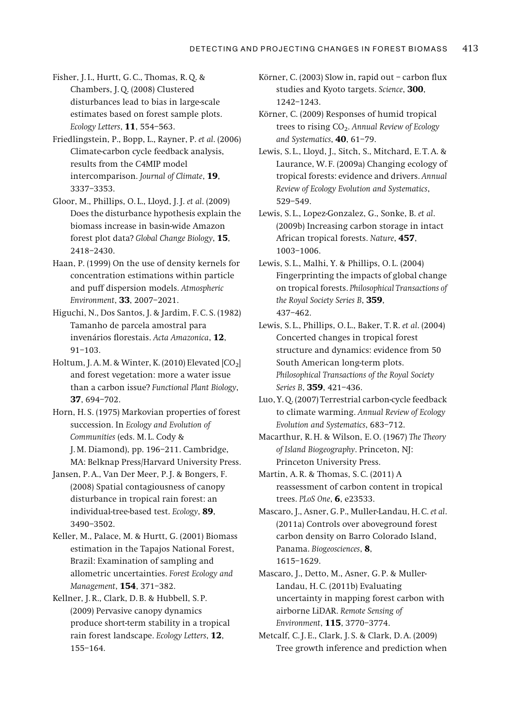- Fisher, J. I., Hurtt, G. C., Thomas, R. Q. & Chambers, J. Q. (2008) Clustered disturbances lead to bias in large-scale estimates based on forest sample plots. Ecology Letters, 11, 554–563.
- Friedlingstein, P., Bopp, L., Rayner, P. et al. (2006) Climate-carbon cycle feedback analysis, results from the C4MIP model intercomparison. Journal of Climate, 19, 3337–3353.
- Gloor, M., Phillips, O. L., Lloyd, J. J. et al. (2009) Does the disturbance hypothesis explain the biomass increase in basin-wide Amazon forest plot data? Global Change Biology, 15, 2418–2430.
- Haan, P. (1999) On the use of density kernels for concentration estimations within particle and puff dispersion models. Atmospheric Environment, 33, 2007–2021.
- Higuchi, N., Dos Santos, J. & Jardim, F. C. S. (1982) Tamanho de parcela amostral para invenários florestais. Acta Amazonica, 12, 91–103.
- Holtum, J. A. M. & Winter, K. (2010) Elevated  $[CO<sub>2</sub>]$ and forest vegetation: more a water issue than a carbon issue? Functional Plant Biology, 37, 694–702.
- Horn, H. S. (1975) Markovian properties of forest succession. In Ecology and Evolution of Communities (eds. M. L. Cody & J. M. Diamond), pp. 196–211. Cambridge, MA: Belknap Press/Harvard University Press.
- Jansen, P. A., Van Der Meer, P. J. & Bongers, F. (2008) Spatial contagiousness of canopy disturbance in tropical rain forest: an individual-tree-based test. Ecology, 89, 3490–3502.
- Keller, M., Palace, M. & Hurtt, G. (2001) Biomass estimation in the Tapajos National Forest, Brazil: Examination of sampling and allometric uncertainties. Forest Ecology and Management, 154, 371–382.
- Kellner, J. R., Clark, D. B. & Hubbell, S. P. (2009) Pervasive canopy dynamics produce short-term stability in a tropical rain forest landscape. Ecology Letters, 12, 155–164.

Körner, C. (2003) Slow in, rapid out – carbon flux studies and Kyoto targets. Science, 300, 1242–1243.

- Körner, C. (2009) Responses of humid tropical trees to rising  $CO<sub>2</sub>$ . Annual Review of Ecology and Systematics, 40, 61–79.
- Lewis, S. L., Lloyd, J., Sitch, S., Mitchard, E. T. A. & Laurance, W. F. (2009a) Changing ecology of tropical forests: evidence and drivers. Annual Review of Ecology Evolution and Systematics, 529–549.
- Lewis, S. L., Lopez-Gonzalez, G., Sonke, B. et al. (2009b) Increasing carbon storage in intact African tropical forests. Nature, 457, 1003–1006.
- Lewis, S. L., Malhi, Y. & Phillips, O. L. (2004) Fingerprinting the impacts of global change on tropical forests. Philosophical Transactions of the Royal Society Series B, 359, 437–462.
- Lewis, S. L., Phillips, O. L., Baker, T. R. et al. (2004) Concerted changes in tropical forest structure and dynamics: evidence from 50 South American long-term plots. Philosophical Transactions of the Royal Society Series B, 359, 421-436.
- Luo, Y. Q. (2007) Terrestrial carbon-cycle feedback to climate warming. Annual Review of Ecology Evolution and Systematics, 683–712.
- Macarthur, R. H. & Wilson, E. O. (1967) The Theory of Island Biogeography. Princeton, NJ: Princeton University Press.
- Martin, A. R. & Thomas, S. C. (2011) A reassessment of carbon content in tropical trees. PLoS One, 6, e23533.
- Mascaro, J., Asner, G. P., Muller-Landau, H. C. et al. (2011a) Controls over aboveground forest carbon density on Barro Colorado Island, Panama. Biogeosciences, 8, 1615–1629.
- Mascaro, J., Detto, M., Asner, G. P. & Muller-Landau, H. C. (2011b) Evaluating uncertainty in mapping forest carbon with airborne LiDAR. Remote Sensing of Environment, 115, 3770–3774.
- Metcalf, C. J. E., Clark, J. S. & Clark, D. A. (2009) Tree growth inference and prediction when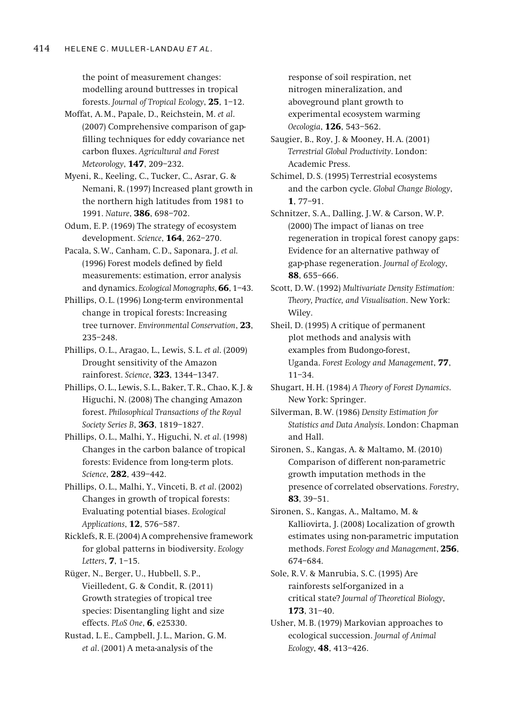the point of measurement changes: modelling around buttresses in tropical forests. Journal of Tropical Ecology, 25, 1–12.

- Moffat, A. M., Papale, D., Reichstein, M. et al. (2007) Comprehensive comparison of gapfilling techniques for eddy covariance net carbon fluxes. Agricultural and Forest Meteorology, 147, 209–232.
- Myeni, R., Keeling, C., Tucker, C., Asrar, G. & Nemani, R. (1997) Increased plant growth in the northern high latitudes from 1981 to 1991. Nature, 386, 698–702.
- Odum, E. P. (1969) The strategy of ecosystem development. Science, 164, 262-270.
- Pacala, S.W., Canham, C.D., Saponara, J. et al. (1996) Forest models defined by field measurements: estimation, error analysis and dynamics. Ecological Monographs, 66, 1–43.
- Phillips, O. L. (1996) Long-term environmental change in tropical forests: Increasing tree turnover. Environmental Conservation, 23, 235–248.
- Phillips, O. L., Aragao, L., Lewis, S. L. et al. (2009) Drought sensitivity of the Amazon rainforest. Science, 323, 1344–1347.
- Phillips, O. L., Lewis, S. L., Baker, T. R., Chao, K. J. & Higuchi, N. (2008) The changing Amazon forest. Philosophical Transactions of the Royal Society Series B, 363, 1819–1827.
- Phillips, O. L., Malhi, Y., Higuchi, N. et al. (1998) Changes in the carbon balance of tropical forests: Evidence from long-term plots. Science, 282, 439–442.

Phillips, O. L., Malhi, Y., Vinceti, B. et al. (2002) Changes in growth of tropical forests: Evaluating potential biases. Ecological Applications, 12, 576–587.

Ricklefs, R. E. (2004) A comprehensive framework for global patterns in biodiversity. Ecology Letters, 7, 1–15.

Rüger, N., Berger, U., Hubbell, S.P., Vieilledent, G. & Condit, R. (2011) Growth strategies of tropical tree species: Disentangling light and size effects. PLoS One, 6, e25330.

Rustad, L. E., Campbell, J. L., Marion, G. M. et al. (2001) A meta-analysis of the

response of soil respiration, net nitrogen mineralization, and aboveground plant growth to experimental ecosystem warming Oecologia, 126, 543–562.

- Saugier, B., Roy, J. & Mooney, H. A. (2001) Terrestrial Global Productivity. London: Academic Press.
- Schimel, D. S. (1995) Terrestrial ecosystems and the carbon cycle. Global Change Biology, 1, 77–91.
- Schnitzer, S. A., Dalling, J. W. & Carson, W. P. (2000) The impact of lianas on tree regeneration in tropical forest canopy gaps: Evidence for an alternative pathway of gap-phase regeneration. Journal of Ecology, 88, 655–666.
- Scott, D. W. (1992) Multivariate Density Estimation: Theory, Practice, and Visualisation. New York: Wiley.
- Sheil, D. (1995) A critique of permanent plot methods and analysis with examples from Budongo-forest, Uganda. Forest Ecology and Management, 77, 11–34.
- Shugart, H. H. (1984) A Theory of Forest Dynamics. New York: Springer.
- Silverman, B. W. (1986) Density Estimation for Statistics and Data Analysis. London: Chapman and Hall.
- Sironen, S., Kangas, A. & Maltamo, M. (2010) Comparison of different non-parametric growth imputation methods in the presence of correlated observations. Forestry, 83, 39–51.
- Sironen, S., Kangas, A., Maltamo, M. & Kalliovirta, J. (2008) Localization of growth estimates using non-parametric imputation methods. Forest Ecology and Management, 256, 674–684.
- Sole, R. V. & Manrubia, S. C. (1995) Are rainforests self-organized in a critical state? Journal of Theoretical Biology, 173, 31–40.
- Usher, M. B. (1979) Markovian approaches to ecological succession. Journal of Animal Ecology, 48, 413–426.